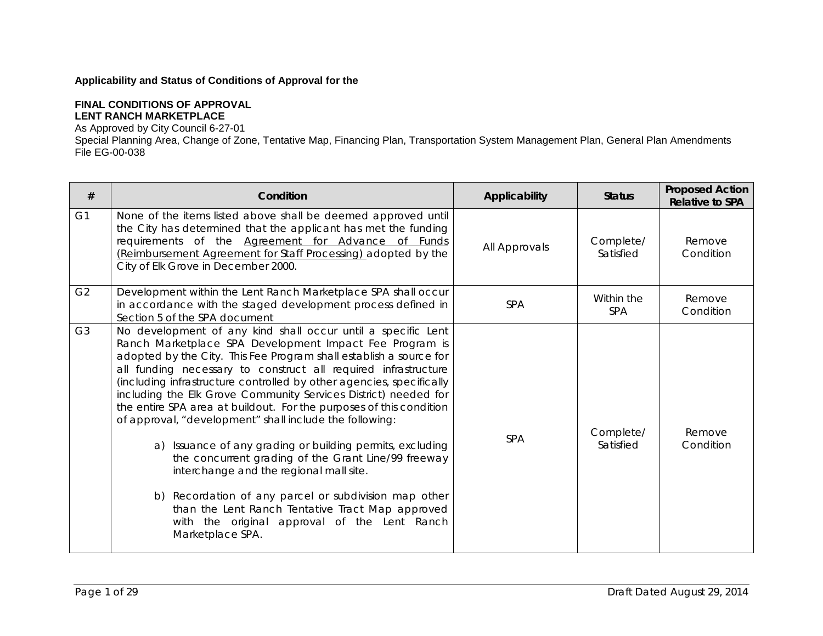## **Applicability and Status of Conditions of Approval for the**

## **FINAL CONDITIONS OF APPROVAL LENT RANCH MARKETPLACE**

As Approved by City Council 6-27-01

Special Planning Area, Change of Zone, Tentative Map, Financing Plan, Transportation System Management Plan, General Plan Amendments File EG-00-038

| #              | Condition                                                                                                                                                                                                                                                                                                                                                                                                                                                                                                                                                                                                                                                                                                                                                                                                                                                                                    | Applicability | <b>Status</b>            | <b>Proposed Action</b><br><b>Relative to SPA</b> |
|----------------|----------------------------------------------------------------------------------------------------------------------------------------------------------------------------------------------------------------------------------------------------------------------------------------------------------------------------------------------------------------------------------------------------------------------------------------------------------------------------------------------------------------------------------------------------------------------------------------------------------------------------------------------------------------------------------------------------------------------------------------------------------------------------------------------------------------------------------------------------------------------------------------------|---------------|--------------------------|--------------------------------------------------|
| G <sub>1</sub> | None of the items listed above shall be deemed approved until<br>the City has determined that the applicant has met the funding<br>requirements of the Agreement for Advance of Funds<br>(Reimbursement Agreement for Staff Processing) adopted by the<br>City of Elk Grove in December 2000.                                                                                                                                                                                                                                                                                                                                                                                                                                                                                                                                                                                                | All Approvals | Complete/<br>Satisfied   | Remove<br>Condition                              |
| G <sub>2</sub> | Development within the Lent Ranch Marketplace SPA shall occur<br>in accordance with the staged development process defined in<br>Section 5 of the SPA document                                                                                                                                                                                                                                                                                                                                                                                                                                                                                                                                                                                                                                                                                                                               | <b>SPA</b>    | Within the<br><b>SPA</b> | Remove<br>Condition                              |
| G <sub>3</sub> | No development of any kind shall occur until a specific Lent<br>Ranch Marketplace SPA Development Impact Fee Program is<br>adopted by the City. This Fee Program shall establish a source for<br>all funding necessary to construct all required infrastructure<br>(including infrastructure controlled by other agencies, specifically<br>including the Elk Grove Community Services District) needed for<br>the entire SPA area at buildout. For the purposes of this condition<br>of approval, "development" shall include the following:<br>a) Issuance of any grading or building permits, excluding<br>the concurrent grading of the Grant Line/99 freeway<br>interchange and the regional mall site.<br>b) Recordation of any parcel or subdivision map other<br>than the Lent Ranch Tentative Tract Map approved<br>with the original approval of the Lent Ranch<br>Marketplace SPA. | <b>SPA</b>    | Complete/<br>Satisfied   | Remove<br>Condition                              |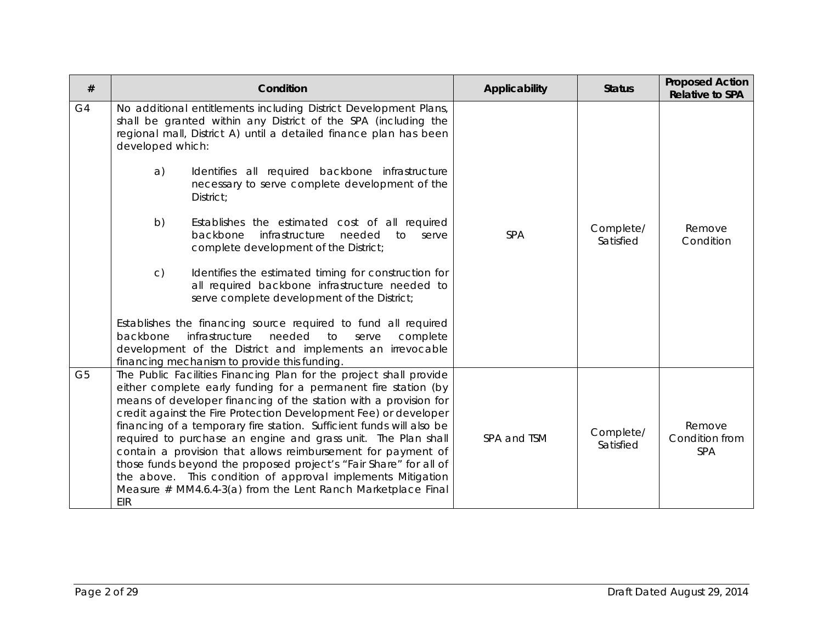| #              | Condition                                                                                                                                                                                                                                                                                                                                                                                                                                                                                                                                                                                                                                                                                                                                                                                                                                                                                                                    | Applicability | <b>Status</b>          | <b>Proposed Action</b><br><b>Relative to SPA</b> |
|----------------|------------------------------------------------------------------------------------------------------------------------------------------------------------------------------------------------------------------------------------------------------------------------------------------------------------------------------------------------------------------------------------------------------------------------------------------------------------------------------------------------------------------------------------------------------------------------------------------------------------------------------------------------------------------------------------------------------------------------------------------------------------------------------------------------------------------------------------------------------------------------------------------------------------------------------|---------------|------------------------|--------------------------------------------------|
| G <sub>4</sub> | No additional entitlements including District Development Plans,<br>shall be granted within any District of the SPA (including the<br>regional mall, District A) until a detailed finance plan has been<br>developed which:<br>a)<br>Identifies all required backbone infrastructure<br>necessary to serve complete development of the<br>District;<br>b)<br>Establishes the estimated cost of all required<br>backbone<br>infrastructure<br>needed<br>to<br>serve<br>complete development of the District;<br>C)<br>Identifies the estimated timing for construction for<br>all required backbone infrastructure needed to<br>serve complete development of the District;<br>Establishes the financing source required to fund all required<br>backbone<br>infrastructure<br>needed<br>to<br>serve<br>complete<br>development of the District and implements an irrevocable<br>financing mechanism to provide this funding. | <b>SPA</b>    | Complete/<br>Satisfied | Remove<br>Condition                              |
| G <sub>5</sub> | The Public Facilities Financing Plan for the project shall provide<br>either complete early funding for a permanent fire station (by<br>means of developer financing of the station with a provision for<br>credit against the Fire Protection Development Fee) or developer<br>financing of a temporary fire station. Sufficient funds will also be<br>required to purchase an engine and grass unit. The Plan shall<br>contain a provision that allows reimbursement for payment of<br>those funds beyond the proposed project's "Fair Share" for all of<br>the above. This condition of approval implements Mitigation<br>Measure $#$ MM4.6.4-3(a) from the Lent Ranch Marketplace Final<br>EIR                                                                                                                                                                                                                           | SPA and TSM   | Complete/<br>Satisfied | Remove<br>Condition from<br><b>SPA</b>           |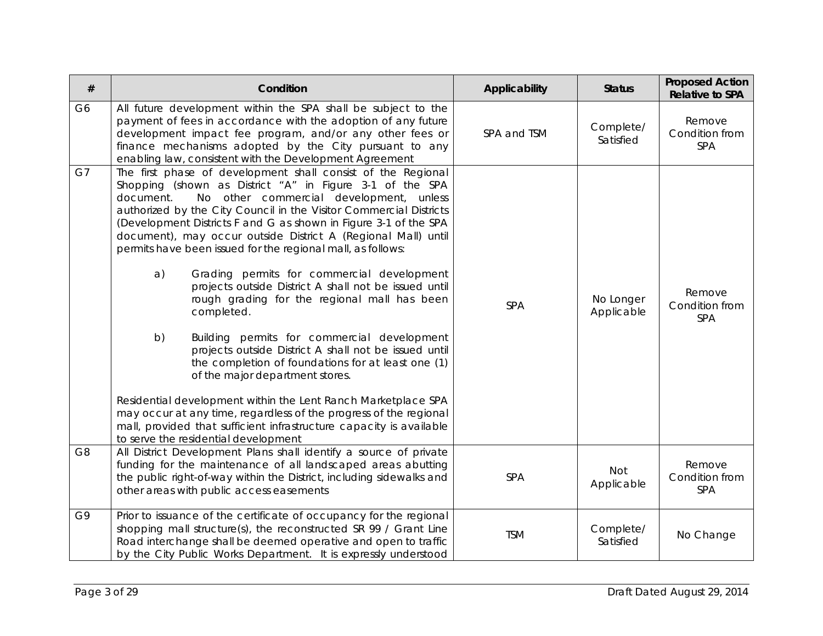| $\#$           | Condition                                                                                                                                                                                                                                                                                                                                                                                                                                                                                                                                                                                                                                                                                                                                                                                                                                                                                                                                                                                                                                                                                         | Applicability | <b>Status</b>            | <b>Proposed Action</b><br><b>Relative to SPA</b> |
|----------------|---------------------------------------------------------------------------------------------------------------------------------------------------------------------------------------------------------------------------------------------------------------------------------------------------------------------------------------------------------------------------------------------------------------------------------------------------------------------------------------------------------------------------------------------------------------------------------------------------------------------------------------------------------------------------------------------------------------------------------------------------------------------------------------------------------------------------------------------------------------------------------------------------------------------------------------------------------------------------------------------------------------------------------------------------------------------------------------------------|---------------|--------------------------|--------------------------------------------------|
| G <sub>6</sub> | All future development within the SPA shall be subject to the<br>payment of fees in accordance with the adoption of any future<br>development impact fee program, and/or any other fees or<br>finance mechanisms adopted by the City pursuant to any<br>enabling law, consistent with the Development Agreement                                                                                                                                                                                                                                                                                                                                                                                                                                                                                                                                                                                                                                                                                                                                                                                   | SPA and TSM   | Complete/<br>Satisfied   | Remove<br>Condition from<br><b>SPA</b>           |
| G7             | The first phase of development shall consist of the Regional<br>Shopping (shown as District "A" in Figure 3-1 of the SPA<br>document.<br>No other commercial development, unless<br>authorized by the City Council in the Visitor Commercial Districts<br>(Development Districts F and G as shown in Figure 3-1 of the SPA<br>document), may occur outside District A (Regional Mall) until<br>permits have been issued for the regional mall, as follows:<br>a)<br>Grading permits for commercial development<br>projects outside District A shall not be issued until<br>rough grading for the regional mall has been<br>completed.<br>b)<br>Building permits for commercial development<br>projects outside District A shall not be issued until<br>the completion of foundations for at least one (1)<br>of the major department stores.<br>Residential development within the Lent Ranch Marketplace SPA<br>may occur at any time, regardless of the progress of the regional<br>mall, provided that sufficient infrastructure capacity is available<br>to serve the residential development | SPA           | No Longer<br>Applicable  | Remove<br>Condition from<br>SPA                  |
| G <sub>8</sub> | All District Development Plans shall identify a source of private<br>funding for the maintenance of all landscaped areas abutting<br>the public right-of-way within the District, including sidewalks and<br>other areas with public access easements                                                                                                                                                                                                                                                                                                                                                                                                                                                                                                                                                                                                                                                                                                                                                                                                                                             | <b>SPA</b>    | <b>Not</b><br>Applicable | Remove<br>Condition from<br>SPA                  |
| G9             | Prior to issuance of the certificate of occupancy for the regional<br>shopping mall structure(s), the reconstructed SR 99 / Grant Line<br>Road interchange shall be deemed operative and open to traffic<br>by the City Public Works Department. It is expressly understood                                                                                                                                                                                                                                                                                                                                                                                                                                                                                                                                                                                                                                                                                                                                                                                                                       | <b>TSM</b>    | Complete/<br>Satisfied   | No Change                                        |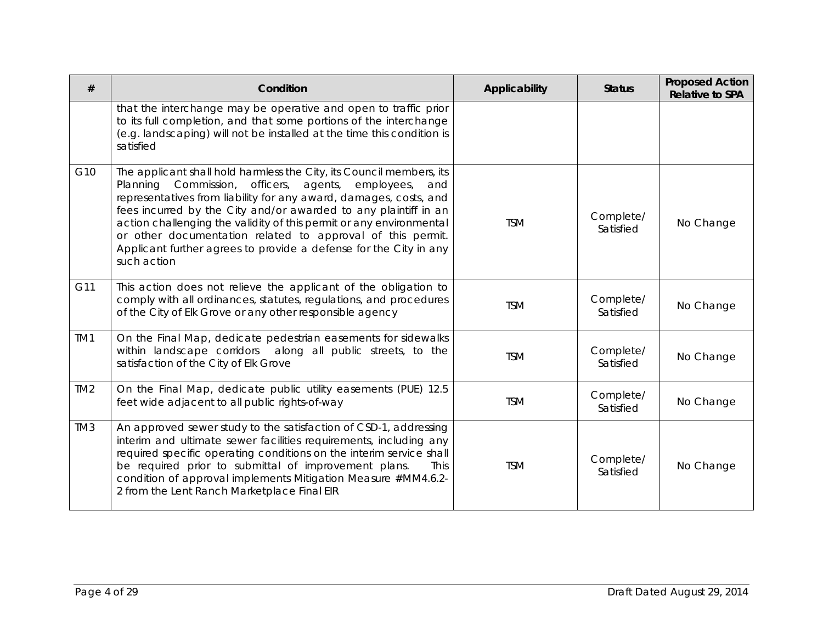| #               | Condition                                                                                                                                                                                                                                                                                                                                                                                                                                                                                                  | Applicability | <b>Status</b>          | <b>Proposed Action</b><br><b>Relative to SPA</b> |
|-----------------|------------------------------------------------------------------------------------------------------------------------------------------------------------------------------------------------------------------------------------------------------------------------------------------------------------------------------------------------------------------------------------------------------------------------------------------------------------------------------------------------------------|---------------|------------------------|--------------------------------------------------|
|                 | that the interchange may be operative and open to traffic prior<br>to its full completion, and that some portions of the interchange<br>(e.g. landscaping) will not be installed at the time this condition is<br>satisfied                                                                                                                                                                                                                                                                                |               |                        |                                                  |
| G10             | The applicant shall hold harmless the City, its Council members, its<br>Commission, officers,<br>Planning<br>agents,<br>employees,<br>and<br>representatives from liability for any award, damages, costs, and<br>fees incurred by the City and/or awarded to any plaintiff in an<br>action challenging the validity of this permit or any environmental<br>or other documentation related to approval of this permit.<br>Applicant further agrees to provide a defense for the City in any<br>such action | <b>TSM</b>    | Complete/<br>Satisfied | No Change                                        |
| G11             | This action does not relieve the applicant of the obligation to<br>comply with all ordinances, statutes, regulations, and procedures<br>of the City of Elk Grove or any other responsible agency                                                                                                                                                                                                                                                                                                           | <b>TSM</b>    | Complete/<br>Satisfied | No Change                                        |
| TM1             | On the Final Map, dedicate pedestrian easements for sidewalks<br>within landscape corridors along all public streets, to the<br>satisfaction of the City of Elk Grove                                                                                                                                                                                                                                                                                                                                      | <b>TSM</b>    | Complete/<br>Satisfied | No Change                                        |
| TM <sub>2</sub> | On the Final Map, dedicate public utility easements (PUE) 12.5<br>feet wide adjacent to all public rights-of-way                                                                                                                                                                                                                                                                                                                                                                                           | <b>TSM</b>    | Complete/<br>Satisfied | No Change                                        |
| TM <sub>3</sub> | An approved sewer study to the satisfaction of CSD-1, addressing<br>interim and ultimate sewer facilities requirements, including any<br>required specific operating conditions on the interim service shall<br>be required prior to submittal of improvement plans.<br>This<br>condition of approval implements Mitigation Measure #MM4.6.2-<br>2 from the Lent Ranch Marketplace Final EIR                                                                                                               | <b>TSM</b>    | Complete/<br>Satisfied | No Change                                        |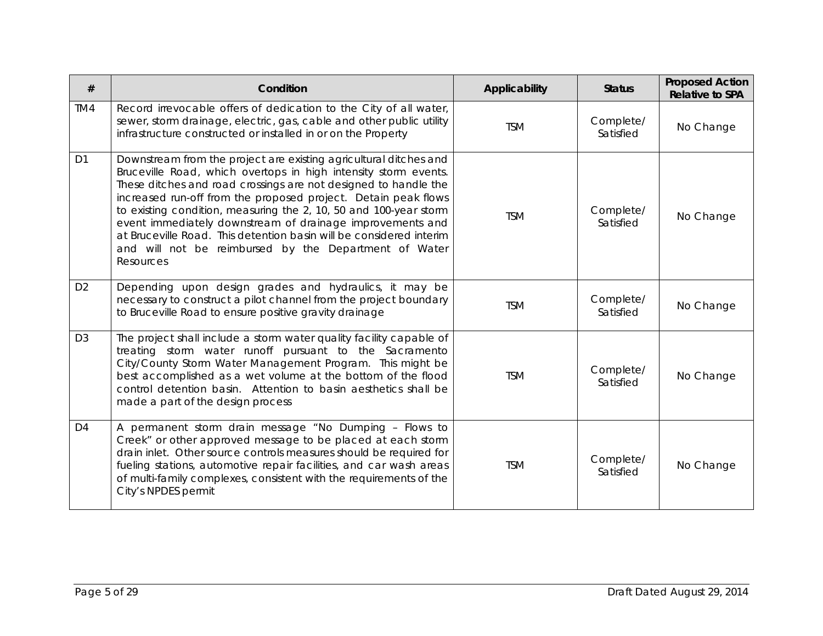| #              | Condition                                                                                                                                                                                                                                                                                                                                                                                                                                                                                                                                                | Applicability | <b>Status</b>          | <b>Proposed Action</b><br><b>Relative to SPA</b> |
|----------------|----------------------------------------------------------------------------------------------------------------------------------------------------------------------------------------------------------------------------------------------------------------------------------------------------------------------------------------------------------------------------------------------------------------------------------------------------------------------------------------------------------------------------------------------------------|---------------|------------------------|--------------------------------------------------|
| TM4            | Record irrevocable offers of dedication to the City of all water,<br>sewer, storm drainage, electric, gas, cable and other public utility<br>infrastructure constructed or installed in or on the Property                                                                                                                                                                                                                                                                                                                                               | <b>TSM</b>    | Complete/<br>Satisfied | No Change                                        |
| D <sub>1</sub> | Downstream from the project are existing agricultural ditches and<br>Bruceville Road, which overtops in high intensity storm events.<br>These ditches and road crossings are not designed to handle the<br>increased run-off from the proposed project. Detain peak flows<br>to existing condition, measuring the 2, 10, 50 and 100-year storm<br>event immediately downstream of drainage improvements and<br>at Bruceville Road. This detention basin will be considered interim<br>and will not be reimbursed by the Department of Water<br>Resources | <b>TSM</b>    | Complete/<br>Satisfied | No Change                                        |
| D <sub>2</sub> | Depending upon design grades and hydraulics, it may be<br>necessary to construct a pilot channel from the project boundary<br>to Bruceville Road to ensure positive gravity drainage                                                                                                                                                                                                                                                                                                                                                                     | <b>TSM</b>    | Complete/<br>Satisfied | No Change                                        |
| D <sub>3</sub> | The project shall include a storm water quality facility capable of<br>treating storm water runoff pursuant to the Sacramento<br>City/County Storm Water Management Program. This might be<br>best accomplished as a wet volume at the bottom of the flood<br>control detention basin. Attention to basin aesthetics shall be<br>made a part of the design process                                                                                                                                                                                       | <b>TSM</b>    | Complete/<br>Satisfied | No Change                                        |
| D <sub>4</sub> | A permanent storm drain message "No Dumping - Flows to<br>Creek" or other approved message to be placed at each storm<br>drain inlet. Other source controls measures should be required for<br>fueling stations, automotive repair facilities, and car wash areas<br>of multi-family complexes, consistent with the requirements of the<br>City's NPDES permit                                                                                                                                                                                           | <b>TSM</b>    | Complete/<br>Satisfied | No Change                                        |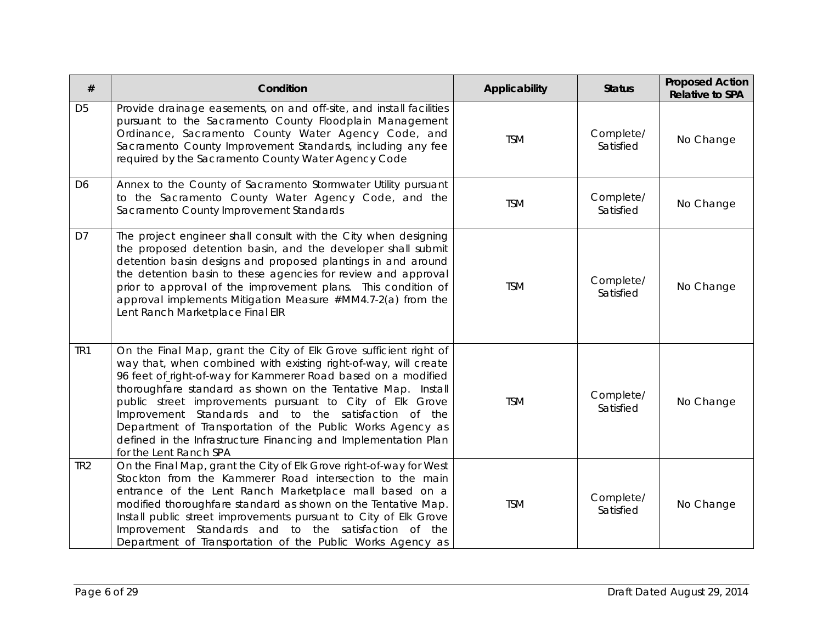| #               | Condition                                                                                                                                                                                                                                                                                                                                                                                                                                                                                                                                            | <b>Applicability</b> | <b>Status</b>          | <b>Proposed Action</b><br><b>Relative to SPA</b> |
|-----------------|------------------------------------------------------------------------------------------------------------------------------------------------------------------------------------------------------------------------------------------------------------------------------------------------------------------------------------------------------------------------------------------------------------------------------------------------------------------------------------------------------------------------------------------------------|----------------------|------------------------|--------------------------------------------------|
| D <sub>5</sub>  | Provide drainage easements, on and off-site, and install facilities<br>pursuant to the Sacramento County Floodplain Management<br>Ordinance, Sacramento County Water Agency Code, and<br>Sacramento County Improvement Standards, including any fee<br>required by the Sacramento County Water Agency Code                                                                                                                                                                                                                                           | <b>TSM</b>           | Complete/<br>Satisfied | No Change                                        |
| D <sub>6</sub>  | Annex to the County of Sacramento Stormwater Utility pursuant<br>to the Sacramento County Water Agency Code, and the<br>Sacramento County Improvement Standards                                                                                                                                                                                                                                                                                                                                                                                      | <b>TSM</b>           | Complete/<br>Satisfied | No Change                                        |
| D7              | The project engineer shall consult with the City when designing<br>the proposed detention basin, and the developer shall submit<br>detention basin designs and proposed plantings in and around<br>the detention basin to these agencies for review and approval<br>prior to approval of the improvement plans. This condition of<br>approval implements Mitigation Measure #MM4.7-2(a) from the<br>Lent Ranch Marketplace Final EIR                                                                                                                 | <b>TSM</b>           | Complete/<br>Satisfied | No Change                                        |
| TR <sub>1</sub> | On the Final Map, grant the City of Elk Grove sufficient right of<br>way that, when combined with existing right-of-way, will create<br>96 feet of right-of-way for Kammerer Road based on a modified<br>thoroughfare standard as shown on the Tentative Map. Install<br>public street improvements pursuant to City of Elk Grove<br>Improvement Standards and to the satisfaction of the<br>Department of Transportation of the Public Works Agency as<br>defined in the Infrastructure Financing and Implementation Plan<br>for the Lent Ranch SPA | <b>TSM</b>           | Complete/<br>Satisfied | No Change                                        |
| TR <sub>2</sub> | On the Final Map, grant the City of Elk Grove right-of-way for West<br>Stockton from the Kammerer Road intersection to the main<br>entrance of the Lent Ranch Marketplace mall based on a<br>modified thoroughfare standard as shown on the Tentative Map.<br>Install public street improvements pursuant to City of Elk Grove<br>Improvement Standards and to the satisfaction of the<br>Department of Transportation of the Public Works Agency as                                                                                                 | <b>TSM</b>           | Complete/<br>Satisfied | No Change                                        |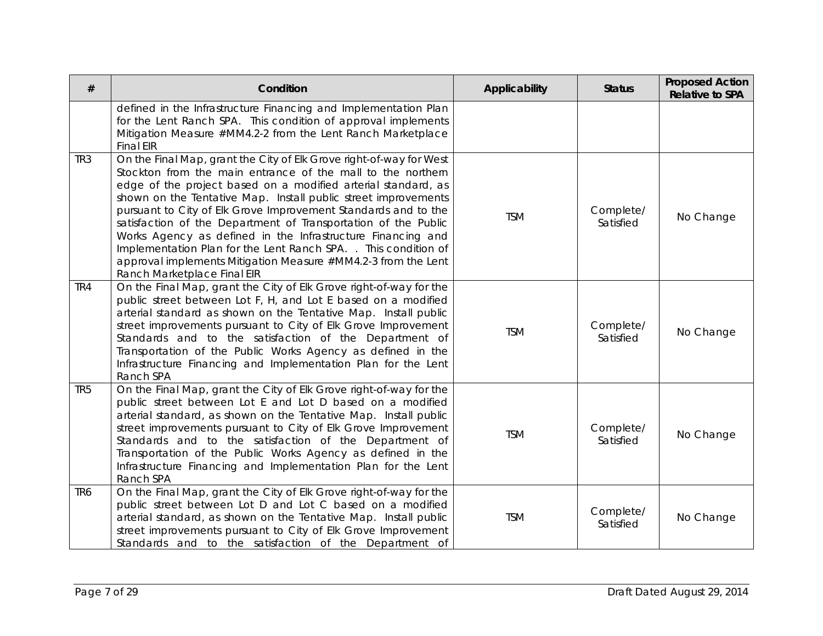| #               | Condition                                                                                                                                                                                                                                                                                                                                                                                                                                                                                                                                                                                                                                   | Applicability | <b>Status</b>          | <b>Proposed Action</b><br><b>Relative to SPA</b> |
|-----------------|---------------------------------------------------------------------------------------------------------------------------------------------------------------------------------------------------------------------------------------------------------------------------------------------------------------------------------------------------------------------------------------------------------------------------------------------------------------------------------------------------------------------------------------------------------------------------------------------------------------------------------------------|---------------|------------------------|--------------------------------------------------|
|                 | defined in the Infrastructure Financing and Implementation Plan<br>for the Lent Ranch SPA. This condition of approval implements<br>Mitigation Measure #MM4.2-2 from the Lent Ranch Marketplace<br><b>Final EIR</b>                                                                                                                                                                                                                                                                                                                                                                                                                         |               |                        |                                                  |
| TR <sub>3</sub> | On the Final Map, grant the City of Elk Grove right-of-way for West<br>Stockton from the main entrance of the mall to the northern<br>edge of the project based on a modified arterial standard, as<br>shown on the Tentative Map. Install public street improvements<br>pursuant to City of Elk Grove Improvement Standards and to the<br>satisfaction of the Department of Transportation of the Public<br>Works Agency as defined in the Infrastructure Financing and<br>Implementation Plan for the Lent Ranch SPA. . This condition of<br>approval implements Mitigation Measure #MM4.2-3 from the Lent<br>Ranch Marketplace Final EIR | <b>TSM</b>    | Complete/<br>Satisfied | No Change                                        |
| TR4             | On the Final Map, grant the City of Elk Grove right-of-way for the<br>public street between Lot F, H, and Lot E based on a modified<br>arterial standard as shown on the Tentative Map. Install public<br>street improvements pursuant to City of Elk Grove Improvement<br>Standards and to the satisfaction of the Department of<br>Transportation of the Public Works Agency as defined in the<br>Infrastructure Financing and Implementation Plan for the Lent<br>Ranch SPA                                                                                                                                                              | <b>TSM</b>    | Complete/<br>Satisfied | No Change                                        |
| TR <sub>5</sub> | On the Final Map, grant the City of Elk Grove right-of-way for the<br>public street between Lot E and Lot D based on a modified<br>arterial standard, as shown on the Tentative Map. Install public<br>street improvements pursuant to City of Elk Grove Improvement<br>Standards and to the satisfaction of the Department of<br>Transportation of the Public Works Agency as defined in the<br>Infrastructure Financing and Implementation Plan for the Lent<br>Ranch SPA                                                                                                                                                                 | <b>TSM</b>    | Complete/<br>Satisfied | No Change                                        |
| TR <sub>6</sub> | On the Final Map, grant the City of Elk Grove right-of-way for the<br>public street between Lot D and Lot C based on a modified<br>arterial standard, as shown on the Tentative Map. Install public<br>street improvements pursuant to City of Elk Grove Improvement<br>Standards and to the satisfaction of the Department of                                                                                                                                                                                                                                                                                                              | <b>TSM</b>    | Complete/<br>Satisfied | No Change                                        |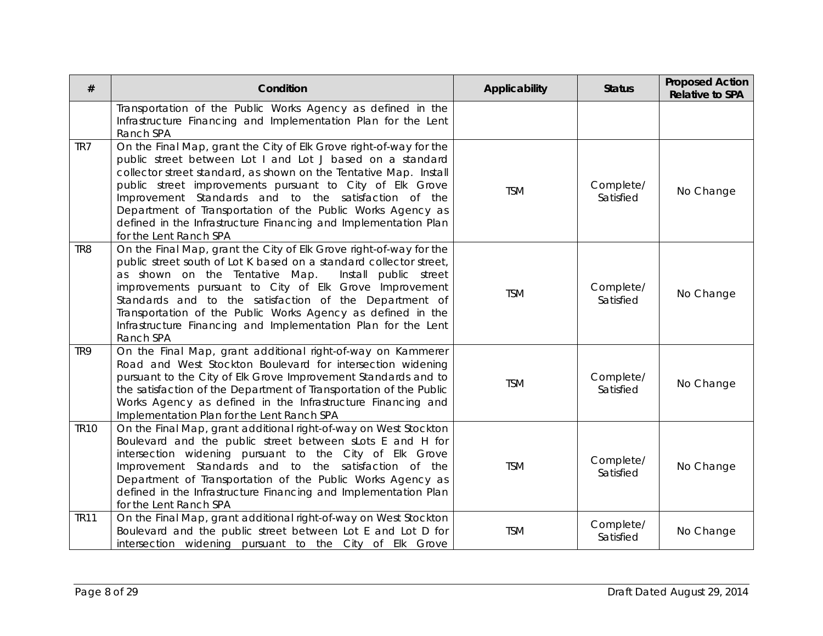| $^{\#}$         | Condition                                                                                                                                                                                                                                                                                                                                                                                                                                                                           | Applicability | <b>Status</b>          | <b>Proposed Action</b><br><b>Relative to SPA</b> |
|-----------------|-------------------------------------------------------------------------------------------------------------------------------------------------------------------------------------------------------------------------------------------------------------------------------------------------------------------------------------------------------------------------------------------------------------------------------------------------------------------------------------|---------------|------------------------|--------------------------------------------------|
|                 | Transportation of the Public Works Agency as defined in the<br>Infrastructure Financing and Implementation Plan for the Lent<br>Ranch SPA                                                                                                                                                                                                                                                                                                                                           |               |                        |                                                  |
| TR7             | On the Final Map, grant the City of Elk Grove right-of-way for the<br>public street between Lot I and Lot J based on a standard<br>collector street standard, as shown on the Tentative Map. Install<br>public street improvements pursuant to City of Elk Grove<br>Improvement Standards and to the satisfaction of the<br>Department of Transportation of the Public Works Agency as<br>defined in the Infrastructure Financing and Implementation Plan<br>for the Lent Ranch SPA | <b>TSM</b>    | Complete/<br>Satisfied | No Change                                        |
| TR <sub>8</sub> | On the Final Map, grant the City of Elk Grove right-of-way for the<br>public street south of Lot K based on a standard collector street,<br>as shown on the Tentative Map.<br>Install public street<br>improvements pursuant to City of Elk Grove Improvement<br>Standards and to the satisfaction of the Department of<br>Transportation of the Public Works Agency as defined in the<br>Infrastructure Financing and Implementation Plan for the Lent<br>Ranch SPA                | <b>TSM</b>    | Complete/<br>Satisfied | No Change                                        |
| TR <sub>9</sub> | On the Final Map, grant additional right-of-way on Kammerer<br>Road and West Stockton Boulevard for intersection widening<br>pursuant to the City of Elk Grove Improvement Standards and to<br>the satisfaction of the Department of Transportation of the Public<br>Works Agency as defined in the Infrastructure Financing and<br>Implementation Plan for the Lent Ranch SPA                                                                                                      | <b>TSM</b>    | Complete/<br>Satisfied | No Change                                        |
| <b>TR10</b>     | On the Final Map, grant additional right-of-way on West Stockton<br>Boulevard and the public street between sLots E and H for<br>intersection widening pursuant to the City of Elk Grove<br>Improvement Standards and to the satisfaction of the<br>Department of Transportation of the Public Works Agency as<br>defined in the Infrastructure Financing and Implementation Plan<br>for the Lent Ranch SPA                                                                         | <b>TSM</b>    | Complete/<br>Satisfied | No Change                                        |
| <b>TR11</b>     | On the Final Map, grant additional right-of-way on West Stockton<br>Boulevard and the public street between Lot E and Lot D for<br>intersection widening pursuant to the City of Elk Grove                                                                                                                                                                                                                                                                                          | <b>TSM</b>    | Complete/<br>Satisfied | No Change                                        |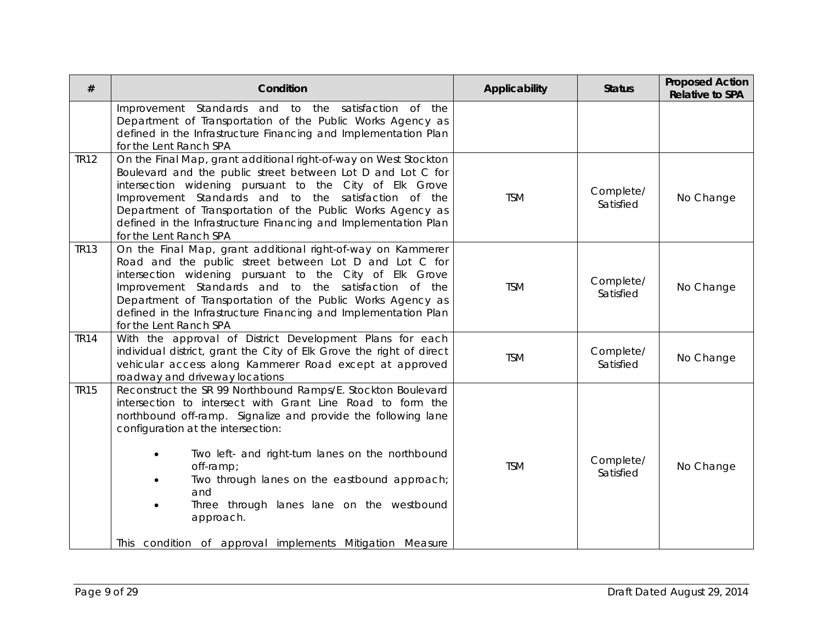| Condition                                                                                                                                                                                                                                                                                                                                                                                                           | Applicability                                            | <b>Status</b>          | <b>Proposed Action</b><br><b>Relative to SPA</b> |
|---------------------------------------------------------------------------------------------------------------------------------------------------------------------------------------------------------------------------------------------------------------------------------------------------------------------------------------------------------------------------------------------------------------------|----------------------------------------------------------|------------------------|--------------------------------------------------|
| Improvement Standards and to the satisfaction of the<br>Department of Transportation of the Public Works Agency as<br>defined in the Infrastructure Financing and Implementation Plan<br>for the Lent Ranch SPA                                                                                                                                                                                                     |                                                          |                        |                                                  |
| On the Final Map, grant additional right-of-way on West Stockton<br>Boulevard and the public street between Lot D and Lot C for<br>intersection widening pursuant to the City of Elk Grove<br>Improvement Standards and to the satisfaction of the<br>Department of Transportation of the Public Works Agency as<br>defined in the Infrastructure Financing and Implementation Plan<br>for the Lent Ranch SPA       | <b>TSM</b>                                               | Complete/<br>Satisfied | No Change                                        |
| On the Final Map, grant additional right-of-way on Kammerer<br>Road and the public street between Lot D and Lot C for<br>intersection widening pursuant to the City of Elk Grove<br>Improvement Standards and to the satisfaction of the<br>Department of Transportation of the Public Works Agency as<br>defined in the Infrastructure Financing and Implementation Plan<br>for the Lent Ranch SPA                 | <b>TSM</b>                                               | Complete/<br>Satisfied | No Change                                        |
| With the approval of District Development Plans for each<br>individual district, grant the City of Elk Grove the right of direct<br>vehicular access along Kammerer Road except at approved<br>roadway and driveway locations                                                                                                                                                                                       | <b>TSM</b>                                               | Complete/<br>Satisfied | No Change                                        |
| Reconstruct the SR 99 Northbound Ramps/E. Stockton Boulevard<br>intersection to intersect with Grant Line Road to form the<br>northbound off-ramp. Signalize and provide the following lane<br>configuration at the intersection:<br>Two left- and right-turn lanes on the northbound<br>off-ramp;<br>Two through lanes on the eastbound approach;<br>and<br>Three through lanes lane on the westbound<br>approach. | <b>TSM</b>                                               | Complete/<br>Satisfied | No Change                                        |
|                                                                                                                                                                                                                                                                                                                                                                                                                     | This condition of approval implements Mitigation Measure |                        |                                                  |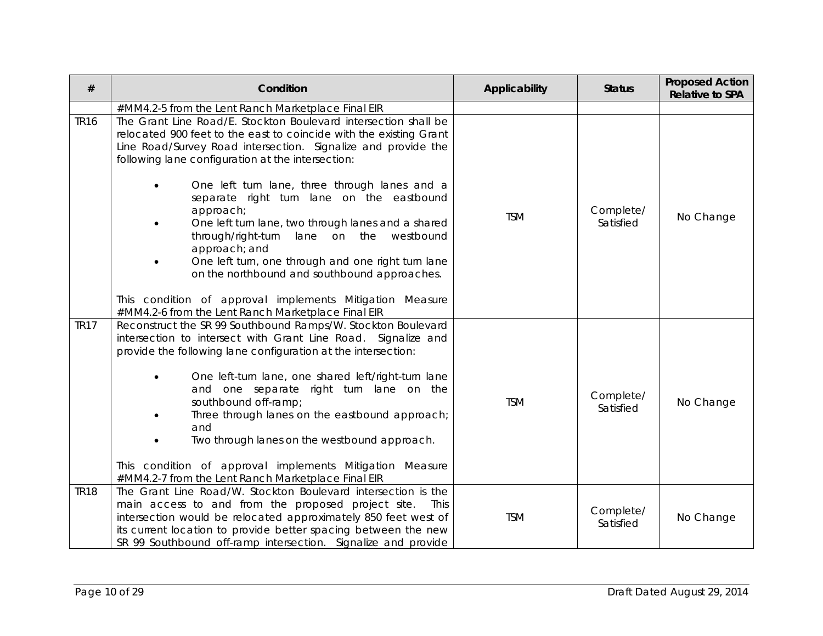| $\#$        | Condition                                                                                                                                                                                                                                                                                                                                                                                                                                                                                                                                                                     | Applicability | <b>Status</b>          | <b>Proposed Action</b><br><b>Relative to SPA</b> |
|-------------|-------------------------------------------------------------------------------------------------------------------------------------------------------------------------------------------------------------------------------------------------------------------------------------------------------------------------------------------------------------------------------------------------------------------------------------------------------------------------------------------------------------------------------------------------------------------------------|---------------|------------------------|--------------------------------------------------|
|             | #MM4.2-5 from the Lent Ranch Marketplace Final EIR                                                                                                                                                                                                                                                                                                                                                                                                                                                                                                                            |               |                        |                                                  |
| <b>TR16</b> | The Grant Line Road/E. Stockton Boulevard intersection shall be<br>relocated 900 feet to the east to coincide with the existing Grant<br>Line Road/Survey Road intersection. Signalize and provide the<br>following lane configuration at the intersection:                                                                                                                                                                                                                                                                                                                   |               |                        |                                                  |
|             | One left turn lane, three through lanes and a<br>$\bullet$<br>separate right turn lane on the eastbound<br>approach;<br>One left turn lane, two through lanes and a shared<br>lane on the westbound<br>through/right-turn<br>approach; and<br>One left turn, one through and one right turn lane<br>on the northbound and southbound approaches.                                                                                                                                                                                                                              | <b>TSM</b>    | Complete/<br>Satisfied | No Change                                        |
|             | This condition of approval implements Mitigation Measure<br>#MM4.2-6 from the Lent Ranch Marketplace Final EIR                                                                                                                                                                                                                                                                                                                                                                                                                                                                |               |                        |                                                  |
| <b>TR17</b> | Reconstruct the SR 99 Southbound Ramps/W. Stockton Boulevard<br>intersection to intersect with Grant Line Road. Signalize and<br>provide the following lane configuration at the intersection:<br>One left-turn lane, one shared left/right-turn lane<br>$\bullet$<br>and one separate right turn lane on the<br>southbound off-ramp;<br>Three through lanes on the eastbound approach;<br>and<br>Two through lanes on the westbound approach.<br>$\bullet$<br>This condition of approval implements Mitigation Measure<br>#MM4.2-7 from the Lent Ranch Marketplace Final EIR | <b>TSM</b>    | Complete/<br>Satisfied | No Change                                        |
| <b>TR18</b> | The Grant Line Road/W. Stockton Boulevard intersection is the<br>main access to and from the proposed project site.<br>This<br>intersection would be relocated approximately 850 feet west of<br>its current location to provide better spacing between the new<br>SR 99 Southbound off-ramp intersection. Signalize and provide                                                                                                                                                                                                                                              | <b>TSM</b>    | Complete/<br>Satisfied | No Change                                        |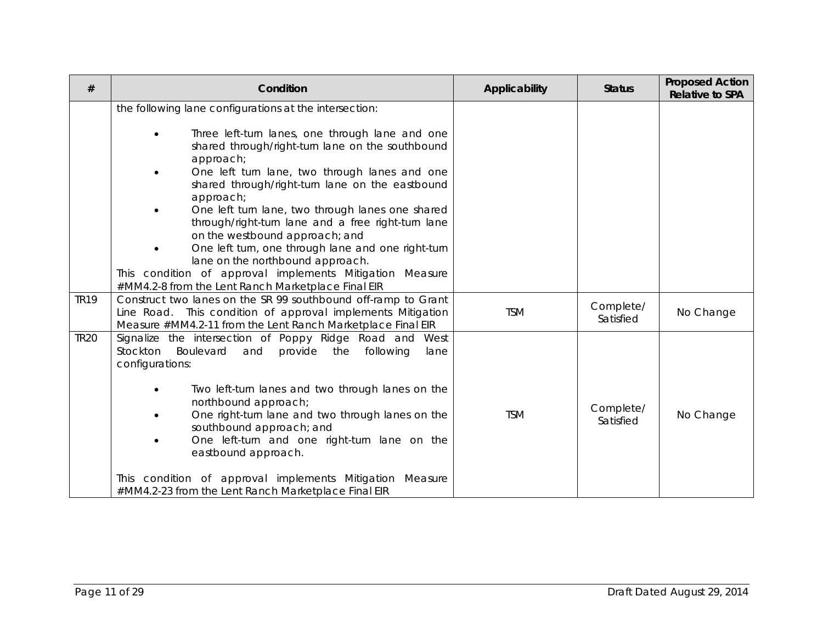| #           | Condition                                                                                                                                                                                                                                                                                                                                                                                                                                                                                                                                                                                                                                                                     | Applicability | <b>Status</b>          | <b>Proposed Action</b><br><b>Relative to SPA</b> |
|-------------|-------------------------------------------------------------------------------------------------------------------------------------------------------------------------------------------------------------------------------------------------------------------------------------------------------------------------------------------------------------------------------------------------------------------------------------------------------------------------------------------------------------------------------------------------------------------------------------------------------------------------------------------------------------------------------|---------------|------------------------|--------------------------------------------------|
|             | the following lane configurations at the intersection:<br>Three left-turn lanes, one through lane and one<br>$\bullet$<br>shared through/right-turn lane on the southbound<br>approach;<br>One left turn lane, two through lanes and one<br>shared through/right-turn lane on the eastbound<br>approach;<br>One left turn lane, two through lanes one shared<br>$\bullet$<br>through/right-turn lane and a free right-turn lane<br>on the westbound approach; and<br>One left turn, one through lane and one right-turn<br>lane on the northbound approach.<br>This condition of approval implements Mitigation Measure<br>#MM4.2-8 from the Lent Ranch Marketplace Final EIR |               |                        |                                                  |
| <b>TR19</b> | Construct two lanes on the SR 99 southbound off-ramp to Grant<br>This condition of approval implements Mitigation<br>Line Road.<br>Measure #MM4.2-11 from the Lent Ranch Marketplace Final EIR                                                                                                                                                                                                                                                                                                                                                                                                                                                                                | <b>TSM</b>    | Complete/<br>Satisfied | No Change                                        |
| <b>TR20</b> | Signalize the intersection of Poppy Ridge Road and<br>West<br>Stockton Boulevard<br>provide<br>following<br>and<br>the<br>lane<br>configurations:<br>Two left-turn lanes and two through lanes on the<br>$\bullet$<br>northbound approach;<br>One right-turn lane and two through lanes on the<br>southbound approach; and<br>One left-turn and one right-turn lane on the<br>$\bullet$<br>eastbound approach.<br>This condition of approval implements Mitigation Measure<br>#MM4.2-23 from the Lent Ranch Marketplace Final EIR                                                                                                                                             | <b>TSM</b>    | Complete/<br>Satisfied | No Change                                        |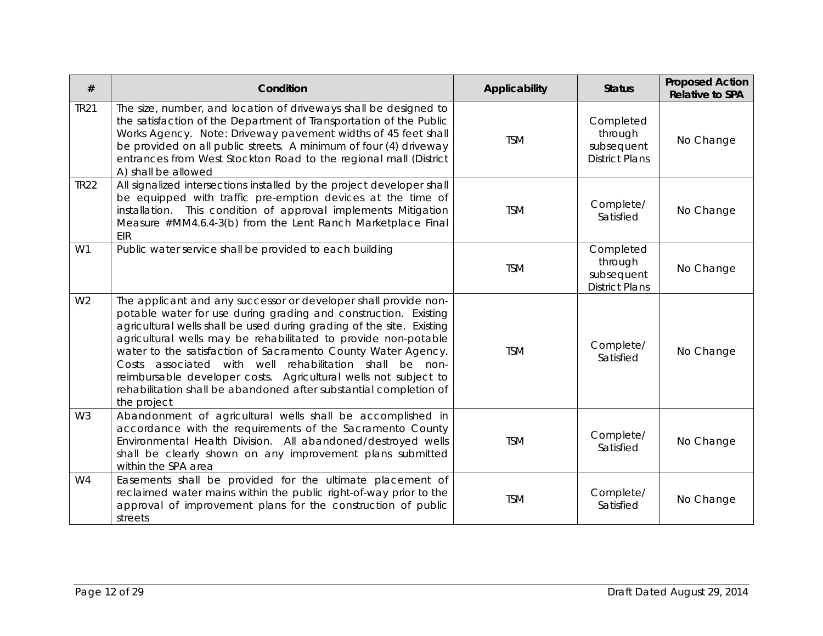| #              | Condition                                                                                                                                                                                                                                                                                                                                                                                                                                                                                                                                                       | Applicability | <b>Status</b>                                               | <b>Proposed Action</b><br><b>Relative to SPA</b> |
|----------------|-----------------------------------------------------------------------------------------------------------------------------------------------------------------------------------------------------------------------------------------------------------------------------------------------------------------------------------------------------------------------------------------------------------------------------------------------------------------------------------------------------------------------------------------------------------------|---------------|-------------------------------------------------------------|--------------------------------------------------|
| <b>TR21</b>    | The size, number, and location of driveways shall be designed to<br>the satisfaction of the Department of Transportation of the Public<br>Works Agency. Note: Driveway pavement widths of 45 feet shall<br>be provided on all public streets. A minimum of four (4) driveway<br>entrances from West Stockton Road to the regional mall (District<br>A) shall be allowed                                                                                                                                                                                         | <b>TSM</b>    | Completed<br>through<br>subsequent<br><b>District Plans</b> | No Change                                        |
| <b>TR22</b>    | All signalized intersections installed by the project developer shall<br>be equipped with traffic pre-emption devices at the time of<br>installation. This condition of approval implements Mitigation<br>Measure #MM4.6.4-3(b) from the Lent Ranch Marketplace Final<br>EIR                                                                                                                                                                                                                                                                                    | <b>TSM</b>    | Complete/<br>Satisfied                                      | No Change                                        |
| W1             | Public water service shall be provided to each building                                                                                                                                                                                                                                                                                                                                                                                                                                                                                                         | <b>TSM</b>    | Completed<br>through<br>subsequent<br><b>District Plans</b> | No Change                                        |
| W <sub>2</sub> | The applicant and any successor or developer shall provide non-<br>potable water for use during grading and construction. Existing<br>agricultural wells shall be used during grading of the site. Existing<br>agricultural wells may be rehabilitated to provide non-potable<br>water to the satisfaction of Sacramento County Water Agency.<br>Costs associated with well rehabilitation shall be non-<br>reimbursable developer costs. Agricultural wells not subject to<br>rehabilitation shall be abandoned after substantial completion of<br>the project | <b>TSM</b>    | Complete/<br>Satisfied                                      | No Change                                        |
| W <sub>3</sub> | Abandonment of agricultural wells shall be accomplished in<br>accordance with the requirements of the Sacramento County<br>Environmental Health Division. All abandoned/destroyed wells<br>shall be clearly shown on any improvement plans submitted<br>within the SPA area                                                                                                                                                                                                                                                                                     | <b>TSM</b>    | Complete/<br>Satisfied                                      | No Change                                        |
| W <sub>4</sub> | Easements shall be provided for the ultimate placement of<br>reclaimed water mains within the public right-of-way prior to the<br>approval of improvement plans for the construction of public<br>streets                                                                                                                                                                                                                                                                                                                                                       | <b>TSM</b>    | Complete/<br>Satisfied                                      | No Change                                        |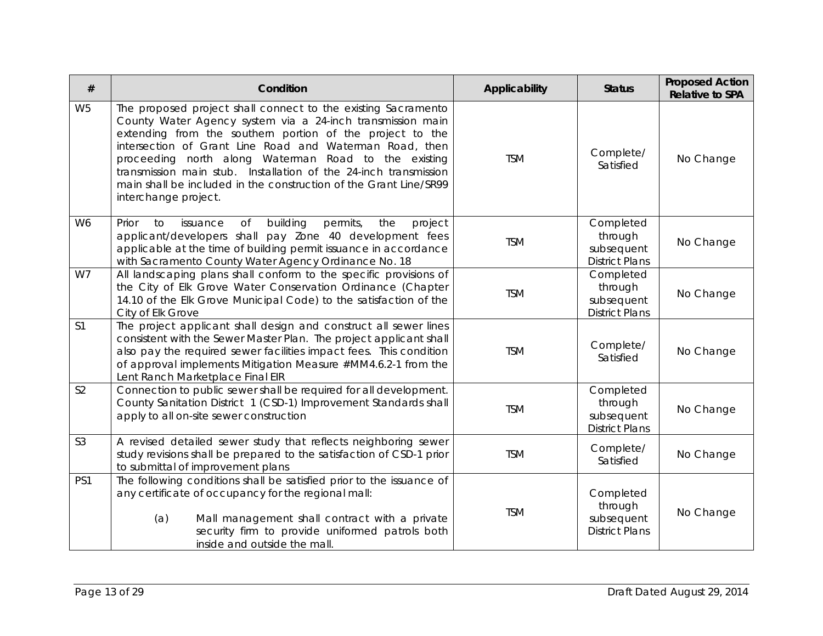| #              | Condition                                                                                                                                                                                                                                                                                                                                                                                                                                                                    | Applicability | <b>Status</b>                                               | <b>Proposed Action</b><br><b>Relative to SPA</b> |
|----------------|------------------------------------------------------------------------------------------------------------------------------------------------------------------------------------------------------------------------------------------------------------------------------------------------------------------------------------------------------------------------------------------------------------------------------------------------------------------------------|---------------|-------------------------------------------------------------|--------------------------------------------------|
| W <sub>5</sub> | The proposed project shall connect to the existing Sacramento<br>County Water Agency system via a 24-inch transmission main<br>extending from the southern portion of the project to the<br>intersection of Grant Line Road and Waterman Road, then<br>proceeding north along Waterman Road to the existing<br>transmission main stub. Installation of the 24-inch transmission<br>main shall be included in the construction of the Grant Line/SR99<br>interchange project. | <b>TSM</b>    | Complete/<br>Satisfied                                      | No Change                                        |
| W <sub>6</sub> | Prior<br>building<br>permits,<br>to<br>issuance<br>Οf<br>the<br>project<br>applicant/developers shall pay Zone 40 development fees<br>applicable at the time of building permit issuance in accordance<br>with Sacramento County Water Agency Ordinance No. 18                                                                                                                                                                                                               | <b>TSM</b>    | Completed<br>through<br>subsequent<br><b>District Plans</b> | No Change                                        |
| W7             | All landscaping plans shall conform to the specific provisions of<br>the City of Elk Grove Water Conservation Ordinance (Chapter<br>14.10 of the Elk Grove Municipal Code) to the satisfaction of the<br>City of Elk Grove                                                                                                                                                                                                                                                   | <b>TSM</b>    | Completed<br>through<br>subsequent<br><b>District Plans</b> | No Change                                        |
| S <sub>1</sub> | The project applicant shall design and construct all sewer lines<br>consistent with the Sewer Master Plan. The project applicant shall<br>also pay the required sewer facilities impact fees. This condition<br>of approval implements Mitigation Measure #MM4.6.2-1 from the<br>Lent Ranch Marketplace Final EIR                                                                                                                                                            | <b>TSM</b>    | Complete/<br>Satisfied                                      | No Change                                        |
| S <sub>2</sub> | Connection to public sewer shall be required for all development.<br>County Sanitation District 1 (CSD-1) Improvement Standards shall<br>apply to all on-site sewer construction                                                                                                                                                                                                                                                                                             | <b>TSM</b>    | Completed<br>through<br>subsequent<br><b>District Plans</b> | No Change                                        |
| S <sub>3</sub> | A revised detailed sewer study that reflects neighboring sewer<br>study revisions shall be prepared to the satisfaction of CSD-1 prior<br>to submittal of improvement plans                                                                                                                                                                                                                                                                                                  | <b>TSM</b>    | Complete/<br>Satisfied                                      | No Change                                        |
| PS1            | The following conditions shall be satisfied prior to the issuance of<br>any certificate of occupancy for the regional mall:<br>Mall management shall contract with a private<br>(a)<br>security firm to provide uniformed patrols both<br>inside and outside the mall.                                                                                                                                                                                                       | <b>TSM</b>    | Completed<br>through<br>subsequent<br><b>District Plans</b> | No Change                                        |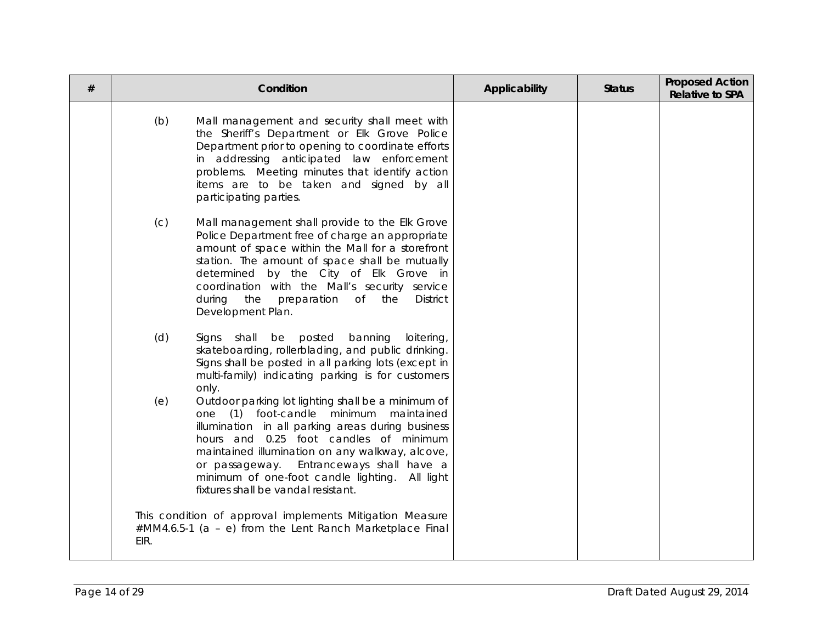| # |      | Condition                                                                                                                                                                                                                                                                                                                                                                              | Applicability | <b>Status</b> | <b>Proposed Action</b><br><b>Relative to SPA</b> |
|---|------|----------------------------------------------------------------------------------------------------------------------------------------------------------------------------------------------------------------------------------------------------------------------------------------------------------------------------------------------------------------------------------------|---------------|---------------|--------------------------------------------------|
|   | (b)  | Mall management and security shall meet with<br>the Sheriff's Department or Elk Grove Police<br>Department prior to opening to coordinate efforts<br>in addressing anticipated law enforcement<br>problems. Meeting minutes that identify action<br>items are to be taken and signed by all<br>participating parties.                                                                  |               |               |                                                  |
|   | (C)  | Mall management shall provide to the Elk Grove<br>Police Department free of charge an appropriate<br>amount of space within the Mall for a storefront<br>station. The amount of space shall be mutually<br>determined by the City of Elk Grove in<br>coordination with the Mall's security service<br>preparation of the<br>during the<br><b>District</b><br>Development Plan.         |               |               |                                                  |
|   | (d)  | Signs shall be posted<br>banning<br>loitering,<br>skateboarding, rollerblading, and public drinking.<br>Signs shall be posted in all parking lots (except in<br>multi-family) indicating parking is for customers<br>only.                                                                                                                                                             |               |               |                                                  |
|   | (e)  | Outdoor parking lot lighting shall be a minimum of<br>one (1) foot-candle minimum maintained<br>illumination in all parking areas during business<br>hours and 0.25 foot candles of minimum<br>maintained illumination on any walkway, alcove,<br>Entranceways shall have a<br>or passageway.<br>minimum of one-foot candle lighting. All light<br>fixtures shall be vandal resistant. |               |               |                                                  |
|   | EIR. | This condition of approval implements Mitigation Measure<br>#MM4.6.5-1 (a - e) from the Lent Ranch Marketplace Final                                                                                                                                                                                                                                                                   |               |               |                                                  |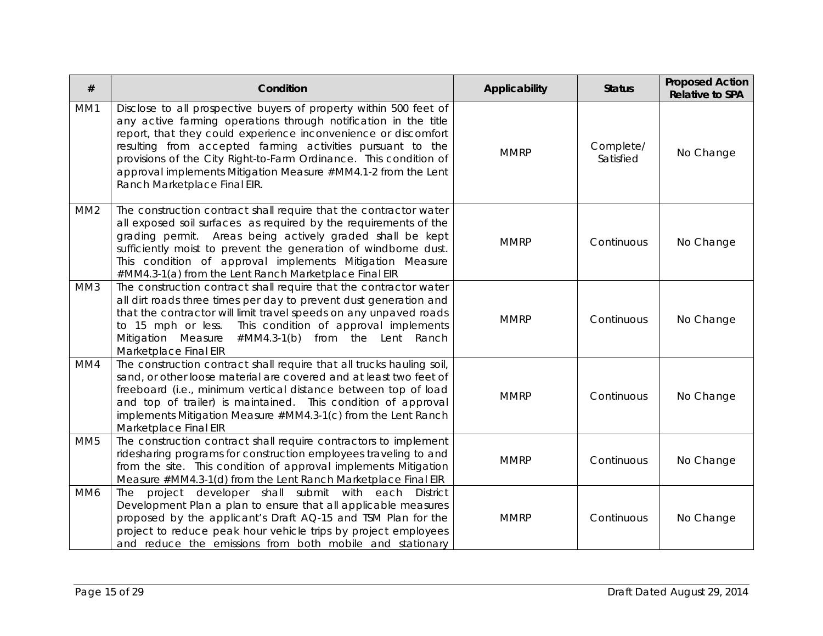| #               | Condition                                                                                                                                                                                                                                                                                                                                                                                                                                  | Applicability | <b>Status</b>          | <b>Proposed Action</b><br><b>Relative to SPA</b> |
|-----------------|--------------------------------------------------------------------------------------------------------------------------------------------------------------------------------------------------------------------------------------------------------------------------------------------------------------------------------------------------------------------------------------------------------------------------------------------|---------------|------------------------|--------------------------------------------------|
| MM1             | Disclose to all prospective buyers of property within 500 feet of<br>any active farming operations through notification in the title<br>report, that they could experience inconvenience or discomfort<br>resulting from accepted farming activities pursuant to the<br>provisions of the City Right-to-Farm Ordinance. This condition of<br>approval implements Mitigation Measure #MM4.1-2 from the Lent<br>Ranch Marketplace Final EIR. | <b>MMRP</b>   | Complete/<br>Satisfied | No Change                                        |
| MM <sub>2</sub> | The construction contract shall require that the contractor water<br>all exposed soil surfaces as required by the requirements of the<br>grading permit. Areas being actively graded shall be kept<br>sufficiently moist to prevent the generation of windborne dust.<br>This condition of approval implements Mitigation Measure<br>#MM4.3-1(a) from the Lent Ranch Marketplace Final EIR                                                 | <b>MMRP</b>   | Continuous             | No Change                                        |
| MM3             | The construction contract shall require that the contractor water<br>all dirt roads three times per day to prevent dust generation and<br>that the contractor will limit travel speeds on any unpaved roads<br>This condition of approval implements<br>to 15 mph or less.<br>Mitigation Measure<br>#MM4.3-1(b) from the Lent Ranch<br>Marketplace Final EIR                                                                               | <b>MMRP</b>   | Continuous             | No Change                                        |
| MM4             | The construction contract shall require that all trucks hauling soil,<br>sand, or other loose material are covered and at least two feet of<br>freeboard (i.e., minimum vertical distance between top of load<br>and top of trailer) is maintained. This condition of approval<br>implements Mitigation Measure #MM4.3-1(c) from the Lent Ranch<br>Marketplace Final EIR                                                                   | <b>MMRP</b>   | Continuous             | No Change                                        |
| MM <sub>5</sub> | The construction contract shall require contractors to implement<br>ridesharing programs for construction employees traveling to and<br>from the site. This condition of approval implements Mitigation<br>Measure #MM4.3-1(d) from the Lent Ranch Marketplace Final EIR                                                                                                                                                                   | <b>MMRP</b>   | Continuous             | No Change                                        |
| MM6             | project developer shall submit with each<br>The<br><b>District</b><br>Development Plan a plan to ensure that all applicable measures<br>proposed by the applicant's Draft AQ-15 and TSM Plan for the<br>project to reduce peak hour vehicle trips by project employees<br>and reduce the emissions from both mobile and stationary                                                                                                         | <b>MMRP</b>   | Continuous             | No Change                                        |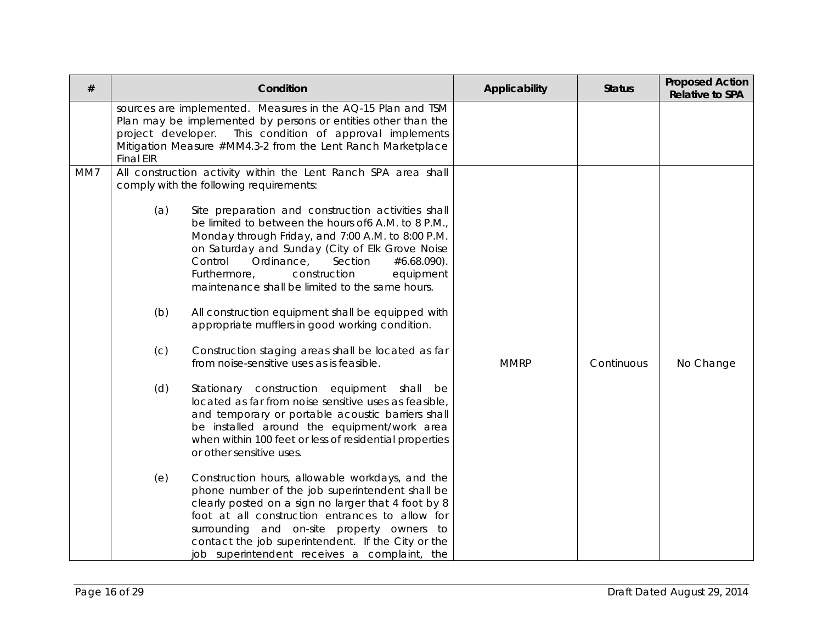| #   | Condition                                                                                                                                                                                                                                                                                                                                                               | Applicability                       | <b>Status</b> | <b>Proposed Action</b><br><b>Relative to SPA</b> |
|-----|-------------------------------------------------------------------------------------------------------------------------------------------------------------------------------------------------------------------------------------------------------------------------------------------------------------------------------------------------------------------------|-------------------------------------|---------------|--------------------------------------------------|
|     | sources are implemented. Measures in the AQ-15 Plan and TSM<br>Plan may be implemented by persons or entities other than the<br>project developer. This condition of approval implements<br>Mitigation Measure #MM4.3-2 from the Lent Ranch Marketplace<br><b>Final EIR</b>                                                                                             |                                     |               |                                                  |
| MM7 | All construction activity within the Lent Ranch SPA area shall<br>comply with the following requirements:                                                                                                                                                                                                                                                               |                                     |               |                                                  |
|     | (a)<br>Site preparation and construction activities shall<br>be limited to between the hours of 6A.M. to 8 P.M.,<br>Monday through Friday, and 7:00 A.M. to 8:00 P.M.<br>on Saturday and Sunday (City of Elk Grove Noise<br>Ordinance,<br>Control<br>Furthermore,<br>construction<br>maintenance shall be limited to the same hours.                                    | Section<br>#6.68.090).<br>equipment |               |                                                  |
|     | All construction equipment shall be equipped with<br>(b)<br>appropriate mufflers in good working condition.                                                                                                                                                                                                                                                             |                                     |               |                                                  |
|     | Construction staging areas shall be located as far<br>(C)<br>from noise-sensitive uses as is feasible.                                                                                                                                                                                                                                                                  | <b>MMRP</b>                         | Continuous    | No Change                                        |
|     | (d)<br>Stationary construction equipment shall be<br>located as far from noise sensitive uses as feasible,<br>and temporary or portable acoustic barriers shall<br>be installed around the equipment/work area<br>when within 100 feet or less of residential properties<br>or other sensitive uses.                                                                    |                                     |               |                                                  |
|     | Construction hours, allowable workdays, and the<br>(e)<br>phone number of the job superintendent shall be<br>clearly posted on a sign no larger that 4 foot by 8<br>foot at all construction entrances to allow for<br>surrounding and on-site property owners to<br>contact the job superintendent. If the City or the<br>job superintendent receives a complaint, the |                                     |               |                                                  |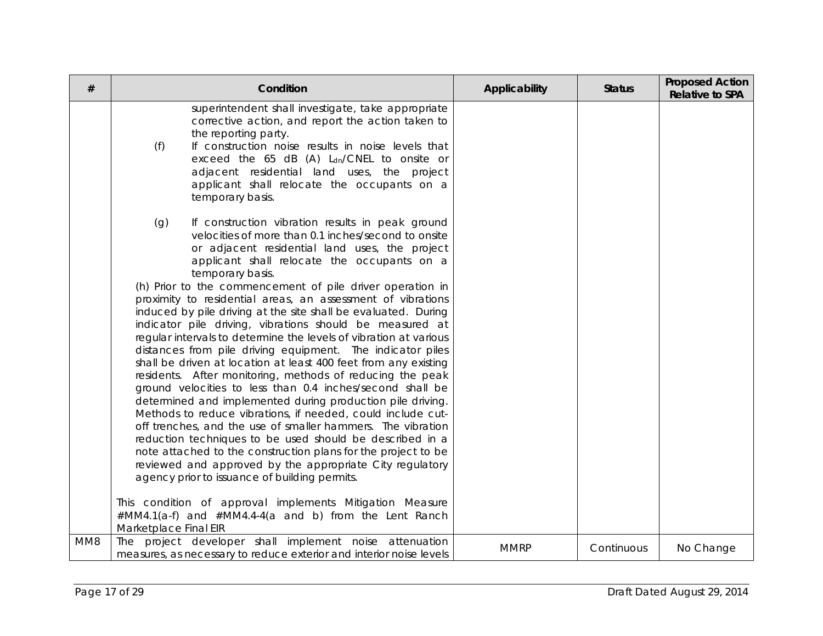| $\#$ | Condition                                                                                                                                                                                                                                                                                                                                                                                                                                                                                                                                                                                                                                                                                                                                                                                                                                                                                                                                                                                                                                                                                                                                                                                                                                                           | Applicability | <b>Status</b> | <b>Proposed Action</b><br><b>Relative to SPA</b> |
|------|---------------------------------------------------------------------------------------------------------------------------------------------------------------------------------------------------------------------------------------------------------------------------------------------------------------------------------------------------------------------------------------------------------------------------------------------------------------------------------------------------------------------------------------------------------------------------------------------------------------------------------------------------------------------------------------------------------------------------------------------------------------------------------------------------------------------------------------------------------------------------------------------------------------------------------------------------------------------------------------------------------------------------------------------------------------------------------------------------------------------------------------------------------------------------------------------------------------------------------------------------------------------|---------------|---------------|--------------------------------------------------|
|      | superintendent shall investigate, take appropriate<br>corrective action, and report the action taken to<br>the reporting party.<br>If construction noise results in noise levels that<br>(f)<br>exceed the 65 dB (A) Ldn/CNEL to onsite or<br>adjacent residential land uses, the project<br>applicant shall relocate the occupants on a<br>temporary basis.                                                                                                                                                                                                                                                                                                                                                                                                                                                                                                                                                                                                                                                                                                                                                                                                                                                                                                        |               |               |                                                  |
|      | (g)<br>If construction vibration results in peak ground<br>velocities of more than 0.1 inches/second to onsite<br>or adjacent residential land uses, the project<br>applicant shall relocate the occupants on a<br>temporary basis.<br>(h) Prior to the commencement of pile driver operation in<br>proximity to residential areas, an assessment of vibrations<br>induced by pile driving at the site shall be evaluated. During<br>indicator pile driving, vibrations should be measured at<br>regular intervals to determine the levels of vibration at various<br>distances from pile driving equipment. The indicator piles<br>shall be driven at location at least 400 feet from any existing<br>residents. After monitoring, methods of reducing the peak<br>ground velocities to less than 0.4 inches/second shall be<br>determined and implemented during production pile driving.<br>Methods to reduce vibrations, if needed, could include cut-<br>off trenches, and the use of smaller hammers. The vibration<br>reduction techniques to be used should be described in a<br>note attached to the construction plans for the project to be<br>reviewed and approved by the appropriate City regulatory<br>agency prior to issuance of building permits. |               |               |                                                  |
|      | This condition of approval implements Mitigation Measure<br>#MM4.1(a-f) and #MM4.4-4(a and b) from the Lent Ranch<br>Marketplace Final EIR                                                                                                                                                                                                                                                                                                                                                                                                                                                                                                                                                                                                                                                                                                                                                                                                                                                                                                                                                                                                                                                                                                                          |               |               |                                                  |
| MM8  | The project developer shall implement noise attenuation<br>measures, as necessary to reduce exterior and interior noise levels                                                                                                                                                                                                                                                                                                                                                                                                                                                                                                                                                                                                                                                                                                                                                                                                                                                                                                                                                                                                                                                                                                                                      | <b>MMRP</b>   | Continuous    | No Change                                        |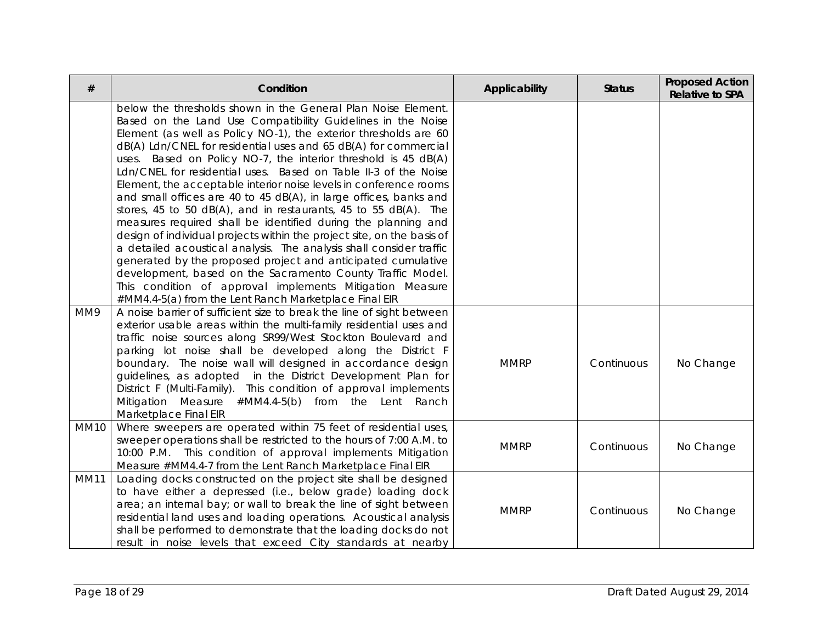| $\#$        | Condition                                                                                                                                                                                                                                                                                                                                                                                                                                                                                                                                                                                                                                                                                                                                                                                                                                                                                                                                                                                                                                                                                  | Applicability | <b>Status</b> | <b>Proposed Action</b><br><b>Relative to SPA</b> |
|-------------|--------------------------------------------------------------------------------------------------------------------------------------------------------------------------------------------------------------------------------------------------------------------------------------------------------------------------------------------------------------------------------------------------------------------------------------------------------------------------------------------------------------------------------------------------------------------------------------------------------------------------------------------------------------------------------------------------------------------------------------------------------------------------------------------------------------------------------------------------------------------------------------------------------------------------------------------------------------------------------------------------------------------------------------------------------------------------------------------|---------------|---------------|--------------------------------------------------|
|             | below the thresholds shown in the General Plan Noise Element.<br>Based on the Land Use Compatibility Guidelines in the Noise<br>Element (as well as Policy NO-1), the exterior thresholds are 60<br>dB(A) Ldn/CNEL for residential uses and 65 dB(A) for commercial<br>uses. Based on Policy NO-7, the interior threshold is 45 dB(A)<br>Ldn/CNEL for residential uses. Based on Table II-3 of the Noise<br>Element, the acceptable interior noise levels in conference rooms<br>and small offices are 40 to 45 dB(A), in large offices, banks and<br>stores, 45 to 50 dB(A), and in restaurants, 45 to 55 dB(A). The<br>measures required shall be identified during the planning and<br>design of individual projects within the project site, on the basis of<br>a detailed acoustical analysis. The analysis shall consider traffic<br>generated by the proposed project and anticipated cumulative<br>development, based on the Sacramento County Traffic Model.<br>This condition of approval implements Mitigation Measure<br>#MM4.4-5(a) from the Lent Ranch Marketplace Final EIR |               |               |                                                  |
| MM9         | A noise barrier of sufficient size to break the line of sight between<br>exterior usable areas within the multi-family residential uses and<br>traffic noise sources along SR99/West Stockton Boulevard and<br>parking lot noise shall be developed along the District F<br>boundary. The noise wall will designed in accordance design<br>guidelines, as adopted in the District Development Plan for<br>District F (Multi-Family). This condition of approval implements<br>Mitigation Measure #MM4.4-5(b) from the Lent Ranch<br>Marketplace Final EIR                                                                                                                                                                                                                                                                                                                                                                                                                                                                                                                                  | <b>MMRP</b>   | Continuous    | No Change                                        |
| <b>MM10</b> | Where sweepers are operated within 75 feet of residential uses,<br>sweeper operations shall be restricted to the hours of 7:00 A.M. to<br>10:00 P.M. This condition of approval implements Mitigation<br>Measure #MM4.4-7 from the Lent Ranch Marketplace Final EIR                                                                                                                                                                                                                                                                                                                                                                                                                                                                                                                                                                                                                                                                                                                                                                                                                        | <b>MMRP</b>   | Continuous    | No Change                                        |
| <b>MM11</b> | Loading docks constructed on the project site shall be designed<br>to have either a depressed (i.e., below grade) loading dock<br>area; an internal bay; or wall to break the line of sight between<br>residential land uses and loading operations. Acoustical analysis<br>shall be performed to demonstrate that the loading docks do not<br>result in noise levels that exceed City standards at nearby                                                                                                                                                                                                                                                                                                                                                                                                                                                                                                                                                                                                                                                                                 | <b>MMRP</b>   | Continuous    | No Change                                        |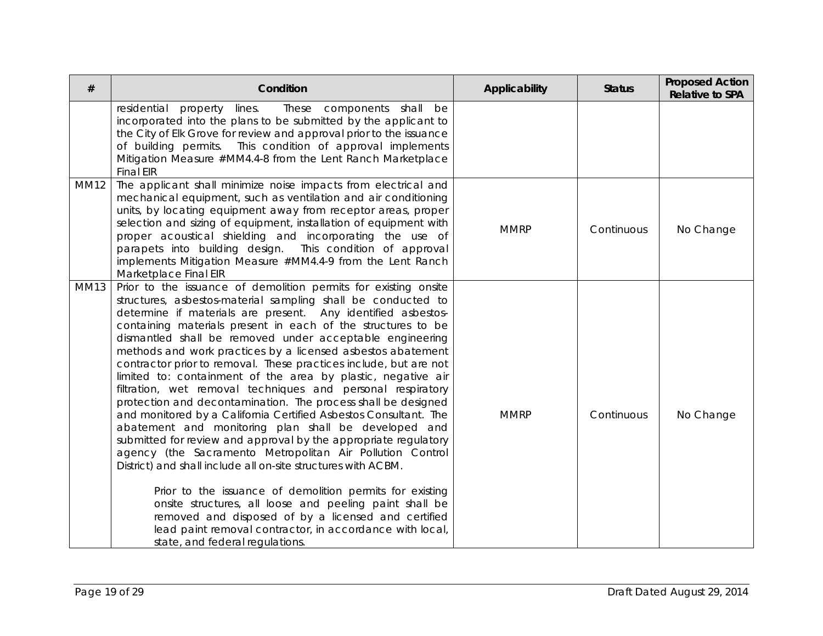| #           | Condition                                                                                                                                                                                                                                                                                                                                                                                                                                                                                                                                                                                                                                                                                                                                                                                                                                                                                                                                                                                                                                                                                                                                                                                                                                                                 | Applicability | <b>Status</b> | <b>Proposed Action</b><br><b>Relative to SPA</b> |
|-------------|---------------------------------------------------------------------------------------------------------------------------------------------------------------------------------------------------------------------------------------------------------------------------------------------------------------------------------------------------------------------------------------------------------------------------------------------------------------------------------------------------------------------------------------------------------------------------------------------------------------------------------------------------------------------------------------------------------------------------------------------------------------------------------------------------------------------------------------------------------------------------------------------------------------------------------------------------------------------------------------------------------------------------------------------------------------------------------------------------------------------------------------------------------------------------------------------------------------------------------------------------------------------------|---------------|---------------|--------------------------------------------------|
|             | residential<br>property<br>lines.<br>These<br>components shall be<br>incorporated into the plans to be submitted by the applicant to<br>the City of Elk Grove for review and approval prior to the issuance<br>This condition of approval implements<br>of building permits.<br>Mitigation Measure #MM4.4-8 from the Lent Ranch Marketplace<br><b>Final EIR</b>                                                                                                                                                                                                                                                                                                                                                                                                                                                                                                                                                                                                                                                                                                                                                                                                                                                                                                           |               |               |                                                  |
| <b>MM12</b> | The applicant shall minimize noise impacts from electrical and<br>mechanical equipment, such as ventilation and air conditioning<br>units, by locating equipment away from receptor areas, proper<br>selection and sizing of equipment, installation of equipment with<br>proper acoustical shielding and incorporating the use of<br>parapets into building design. This condition of approval<br>implements Mitigation Measure #MM4.4-9 from the Lent Ranch<br>Marketplace Final EIR                                                                                                                                                                                                                                                                                                                                                                                                                                                                                                                                                                                                                                                                                                                                                                                    | <b>MMRP</b>   | Continuous    | No Change                                        |
| <b>MM13</b> | Prior to the issuance of demolition permits for existing onsite<br>structures, asbestos-material sampling shall be conducted to<br>determine if materials are present. Any identified asbestos-<br>containing materials present in each of the structures to be<br>dismantled shall be removed under acceptable engineering<br>methods and work practices by a licensed asbestos abatement<br>contractor prior to removal. These practices include, but are not<br>limited to: containment of the area by plastic, negative air<br>filtration, wet removal techniques and personal respiratory<br>protection and decontamination. The process shall be designed<br>and monitored by a California Certified Asbestos Consultant. The<br>abatement and monitoring plan shall be developed and<br>submitted for review and approval by the appropriate regulatory<br>agency (the Sacramento Metropolitan Air Pollution Control<br>District) and shall include all on-site structures with ACBM.<br>Prior to the issuance of demolition permits for existing<br>onsite structures, all loose and peeling paint shall be<br>removed and disposed of by a licensed and certified<br>lead paint removal contractor, in accordance with local,<br>state, and federal regulations. | <b>MMRP</b>   | Continuous    | No Change                                        |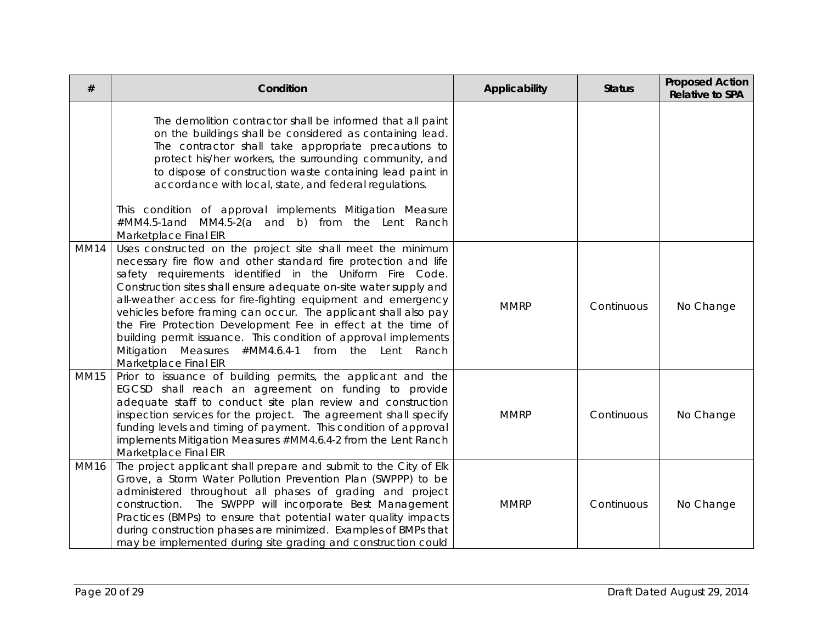| $^{\#}$     | Condition                                                                                                                                                                                                                                                                                                                                                                                                                                                                                                                                                                                                            | Applicability | <b>Status</b> | <b>Proposed Action</b><br><b>Relative to SPA</b> |
|-------------|----------------------------------------------------------------------------------------------------------------------------------------------------------------------------------------------------------------------------------------------------------------------------------------------------------------------------------------------------------------------------------------------------------------------------------------------------------------------------------------------------------------------------------------------------------------------------------------------------------------------|---------------|---------------|--------------------------------------------------|
|             | The demolition contractor shall be informed that all paint<br>on the buildings shall be considered as containing lead.<br>The contractor shall take appropriate precautions to<br>protect his/her workers, the surrounding community, and<br>to dispose of construction waste containing lead paint in<br>accordance with local, state, and federal regulations.<br>This condition of approval implements Mitigation Measure<br>#MM4.5-1and MM4.5-2(a and b) from the Lent Ranch<br>Marketplace Final EIR                                                                                                            |               |               |                                                  |
| <b>MM14</b> | Uses constructed on the project site shall meet the minimum<br>necessary fire flow and other standard fire protection and life<br>safety requirements identified in the Uniform Fire Code.<br>Construction sites shall ensure adequate on-site water supply and<br>all-weather access for fire-fighting equipment and emergency<br>vehicles before framing can occur. The applicant shall also pay<br>the Fire Protection Development Fee in effect at the time of<br>building permit issuance. This condition of approval implements<br>Mitigation Measures #MM4.6.4-1 from the Lent Ranch<br>Marketplace Final EIR | <b>MMRP</b>   | Continuous    | No Change                                        |
| <b>MM15</b> | Prior to issuance of building permits, the applicant and the<br>EGCSD shall reach an agreement on funding to provide<br>adequate staff to conduct site plan review and construction<br>inspection services for the project. The agreement shall specify<br>funding levels and timing of payment. This condition of approval<br>implements Mitigation Measures #MM4.6.4-2 from the Lent Ranch<br>Marketplace Final EIR                                                                                                                                                                                                | <b>MMRP</b>   | Continuous    | No Change                                        |
| <b>MM16</b> | The project applicant shall prepare and submit to the City of Elk<br>Grove, a Storm Water Pollution Prevention Plan (SWPPP) to be<br>administered throughout all phases of grading and project<br>construction. The SWPPP will incorporate Best Management<br>Practices (BMPs) to ensure that potential water quality impacts<br>during construction phases are minimized. Examples of BMPs that<br>may be implemented during site grading and construction could                                                                                                                                                    | <b>MMRP</b>   | Continuous    | No Change                                        |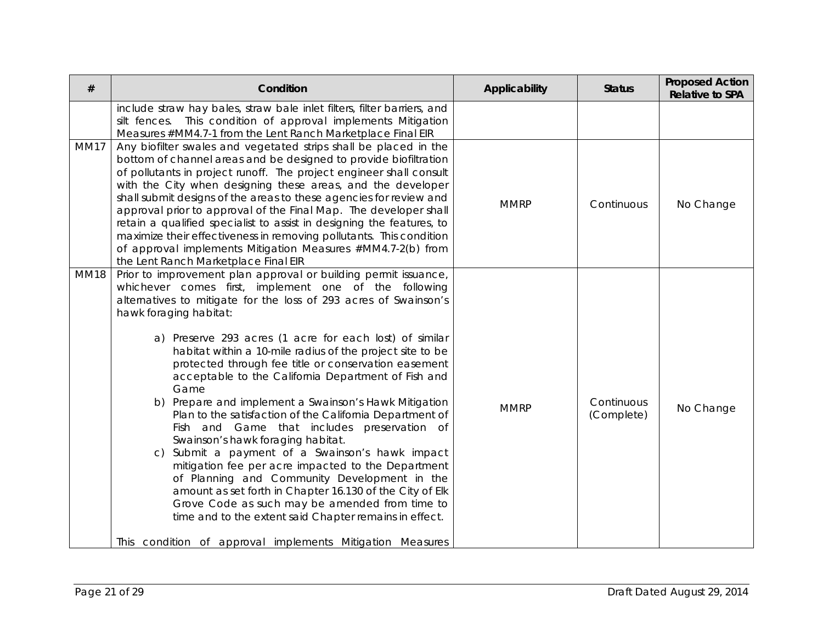| #           | Condition                                                                                                                                                                                                                                                                                                                                                                                                                                                                                                                                                                                                                                                                                                                                                                                                                                                                                                                                                                                                                                                                    | Applicability | <b>Status</b>            | <b>Proposed Action</b><br><b>Relative to SPA</b> |
|-------------|------------------------------------------------------------------------------------------------------------------------------------------------------------------------------------------------------------------------------------------------------------------------------------------------------------------------------------------------------------------------------------------------------------------------------------------------------------------------------------------------------------------------------------------------------------------------------------------------------------------------------------------------------------------------------------------------------------------------------------------------------------------------------------------------------------------------------------------------------------------------------------------------------------------------------------------------------------------------------------------------------------------------------------------------------------------------------|---------------|--------------------------|--------------------------------------------------|
|             | include straw hay bales, straw bale inlet filters, filter barriers, and<br>This condition of approval implements Mitigation<br>silt fences.<br>Measures #MM4.7-1 from the Lent Ranch Marketplace Final EIR                                                                                                                                                                                                                                                                                                                                                                                                                                                                                                                                                                                                                                                                                                                                                                                                                                                                   |               |                          |                                                  |
| <b>MM17</b> | Any biofilter swales and vegetated strips shall be placed in the<br>bottom of channel areas and be designed to provide biofiltration<br>of pollutants in project runoff. The project engineer shall consult<br>with the City when designing these areas, and the developer<br>shall submit designs of the areas to these agencies for review and<br>approval prior to approval of the Final Map. The developer shall<br>retain a qualified specialist to assist in designing the features, to<br>maximize their effectiveness in removing pollutants. This condition<br>of approval implements Mitigation Measures #MM4.7-2(b) from<br>the Lent Ranch Marketplace Final EIR                                                                                                                                                                                                                                                                                                                                                                                                  | <b>MMRP</b>   | Continuous               | No Change                                        |
| <b>MM18</b> | Prior to improvement plan approval or building permit issuance,<br>whichever comes first, implement one of the following<br>alternatives to mitigate for the loss of 293 acres of Swainson's<br>hawk foraging habitat:<br>a) Preserve 293 acres (1 acre for each lost) of similar<br>habitat within a 10-mile radius of the project site to be<br>protected through fee title or conservation easement<br>acceptable to the California Department of Fish and<br>Game<br>b) Prepare and implement a Swainson's Hawk Mitigation<br>Plan to the satisfaction of the California Department of<br>Fish and Game that includes preservation of<br>Swainson's hawk foraging habitat.<br>c) Submit a payment of a Swainson's hawk impact<br>mitigation fee per acre impacted to the Department<br>of Planning and Community Development in the<br>amount as set forth in Chapter 16.130 of the City of Elk<br>Grove Code as such may be amended from time to<br>time and to the extent said Chapter remains in effect.<br>This condition of approval implements Mitigation Measures | <b>MMRP</b>   | Continuous<br>(Complete) | No Change                                        |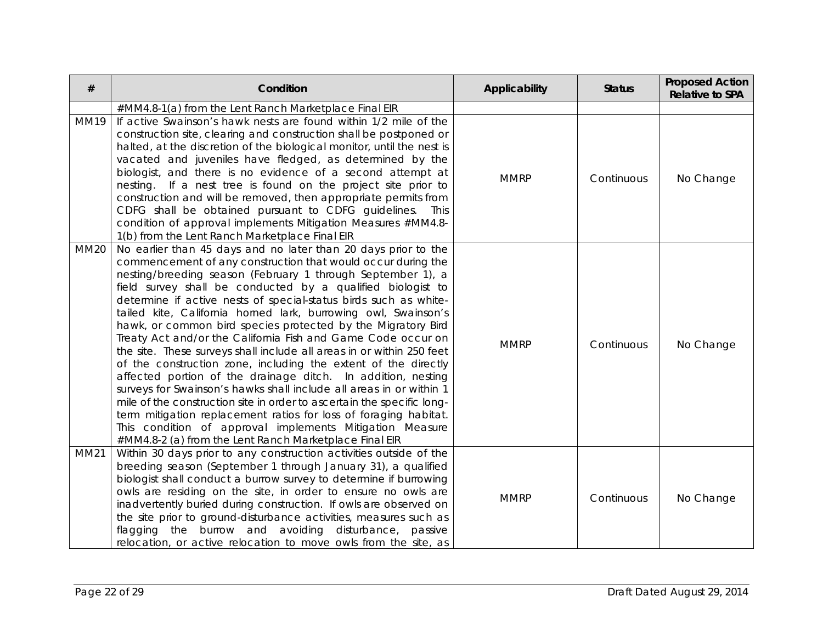| #           | Condition                                                                                                                                                                                                                                                                                                                                                                                                                                                                                                                                                                                                                                                                                                                                                                                                                                                                                                                                                                                                                                                                                | Applicability | <b>Status</b> | <b>Proposed Action</b><br><b>Relative to SPA</b> |
|-------------|------------------------------------------------------------------------------------------------------------------------------------------------------------------------------------------------------------------------------------------------------------------------------------------------------------------------------------------------------------------------------------------------------------------------------------------------------------------------------------------------------------------------------------------------------------------------------------------------------------------------------------------------------------------------------------------------------------------------------------------------------------------------------------------------------------------------------------------------------------------------------------------------------------------------------------------------------------------------------------------------------------------------------------------------------------------------------------------|---------------|---------------|--------------------------------------------------|
|             | #MM4.8-1(a) from the Lent Ranch Marketplace Final EIR                                                                                                                                                                                                                                                                                                                                                                                                                                                                                                                                                                                                                                                                                                                                                                                                                                                                                                                                                                                                                                    |               |               |                                                  |
| <b>MM19</b> | If active Swainson's hawk nests are found within 1/2 mile of the<br>construction site, clearing and construction shall be postponed or<br>halted, at the discretion of the biological monitor, until the nest is<br>vacated and juveniles have fledged, as determined by the<br>biologist, and there is no evidence of a second attempt at<br>If a nest tree is found on the project site prior to<br>nesting.<br>construction and will be removed, then appropriate permits from<br>CDFG shall be obtained pursuant to CDFG guidelines.<br>This<br>condition of approval implements Mitigation Measures #MM4.8-<br>1(b) from the Lent Ranch Marketplace Final EIR                                                                                                                                                                                                                                                                                                                                                                                                                       | <b>MMRP</b>   | Continuous    | No Change                                        |
| <b>MM20</b> | No earlier than 45 days and no later than 20 days prior to the<br>commencement of any construction that would occur during the<br>nesting/breeding season (February 1 through September 1), a<br>field survey shall be conducted by a qualified biologist to<br>determine if active nests of special-status birds such as white-<br>tailed kite, California horned lark, burrowing owl, Swainson's<br>hawk, or common bird species protected by the Migratory Bird<br>Treaty Act and/or the California Fish and Game Code occur on<br>the site. These surveys shall include all areas in or within 250 feet<br>of the construction zone, including the extent of the directly<br>affected portion of the drainage ditch. In addition, nesting<br>surveys for Swainson's hawks shall include all areas in or within 1<br>mile of the construction site in order to ascertain the specific long-<br>term mitigation replacement ratios for loss of foraging habitat.<br>This condition of approval implements Mitigation Measure<br>#MM4.8-2 (a) from the Lent Ranch Marketplace Final EIR | <b>MMRP</b>   | Continuous    | No Change                                        |
| MM21        | Within 30 days prior to any construction activities outside of the<br>breeding season (September 1 through January 31), a qualified<br>biologist shall conduct a burrow survey to determine if burrowing<br>owls are residing on the site, in order to ensure no owls are<br>inadvertently buried during construction. If owls are observed on<br>the site prior to ground-disturbance activities, measures such as<br>flagging the burrow and avoiding disturbance, passive<br>relocation, or active relocation to move owls from the site, as                                                                                                                                                                                                                                                                                                                                                                                                                                                                                                                                          | <b>MMRP</b>   | Continuous    | No Change                                        |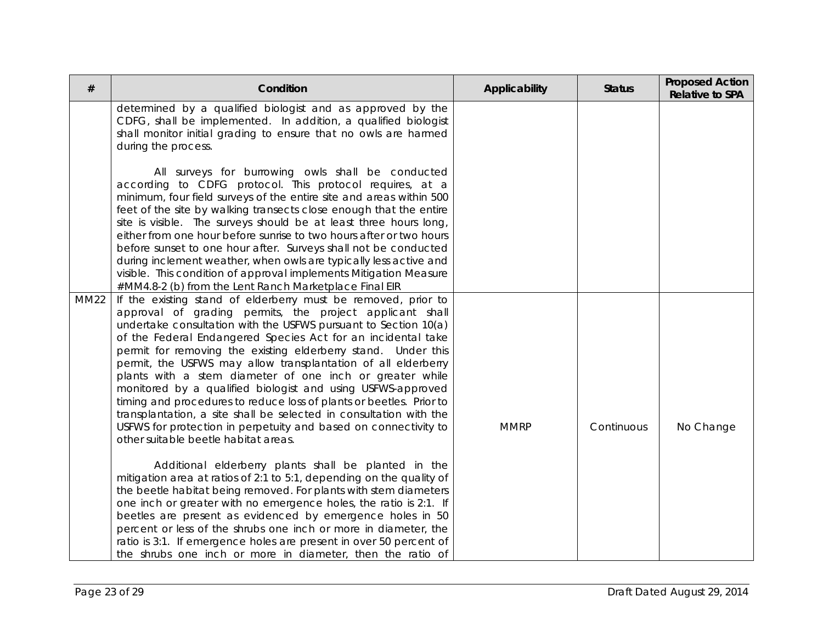| #           | Condition                                                                                                                                                                                                                                                                                                                                                                                                                                                                                                                                                                                                                                                                                                                                                                         | Applicability | <b>Status</b> | <b>Proposed Action</b><br><b>Relative to SPA</b> |
|-------------|-----------------------------------------------------------------------------------------------------------------------------------------------------------------------------------------------------------------------------------------------------------------------------------------------------------------------------------------------------------------------------------------------------------------------------------------------------------------------------------------------------------------------------------------------------------------------------------------------------------------------------------------------------------------------------------------------------------------------------------------------------------------------------------|---------------|---------------|--------------------------------------------------|
|             | determined by a qualified biologist and as approved by the<br>CDFG, shall be implemented. In addition, a qualified biologist<br>shall monitor initial grading to ensure that no owls are harmed<br>during the process.                                                                                                                                                                                                                                                                                                                                                                                                                                                                                                                                                            |               |               |                                                  |
|             | All surveys for burrowing owls shall be conducted<br>according to CDFG protocol. This protocol requires, at a<br>minimum, four field surveys of the entire site and areas within 500<br>feet of the site by walking transects close enough that the entire<br>site is visible. The surveys should be at least three hours long,<br>either from one hour before sunrise to two hours after or two hours<br>before sunset to one hour after. Surveys shall not be conducted<br>during inclement weather, when owls are typically less active and<br>visible. This condition of approval implements Mitigation Measure<br>#MM4.8-2 (b) from the Lent Ranch Marketplace Final EIR                                                                                                     |               |               |                                                  |
| <b>MM22</b> | If the existing stand of elderberry must be removed, prior to<br>approval of grading permits, the project applicant shall<br>undertake consultation with the USFWS pursuant to Section 10(a)<br>of the Federal Endangered Species Act for an incidental take<br>permit for removing the existing elderberry stand. Under this<br>permit, the USFWS may allow transplantation of all elderberry<br>plants with a stem diameter of one inch or greater while<br>monitored by a qualified biologist and using USFWS-approved<br>timing and procedures to reduce loss of plants or beetles. Prior to<br>transplantation, a site shall be selected in consultation with the<br>USFWS for protection in perpetuity and based on connectivity to<br>other suitable beetle habitat areas. | <b>MMRP</b>   | Continuous    | No Change                                        |
|             | Additional elderberry plants shall be planted in the<br>mitigation area at ratios of 2:1 to 5:1, depending on the quality of<br>the beetle habitat being removed. For plants with stem diameters<br>one inch or greater with no emergence holes, the ratio is 2:1. If<br>beetles are present as evidenced by emergence holes in 50<br>percent or less of the shrubs one inch or more in diameter, the<br>ratio is 3:1. If emergence holes are present in over 50 percent of<br>the shrubs one inch or more in diameter, then the ratio of                                                                                                                                                                                                                                         |               |               |                                                  |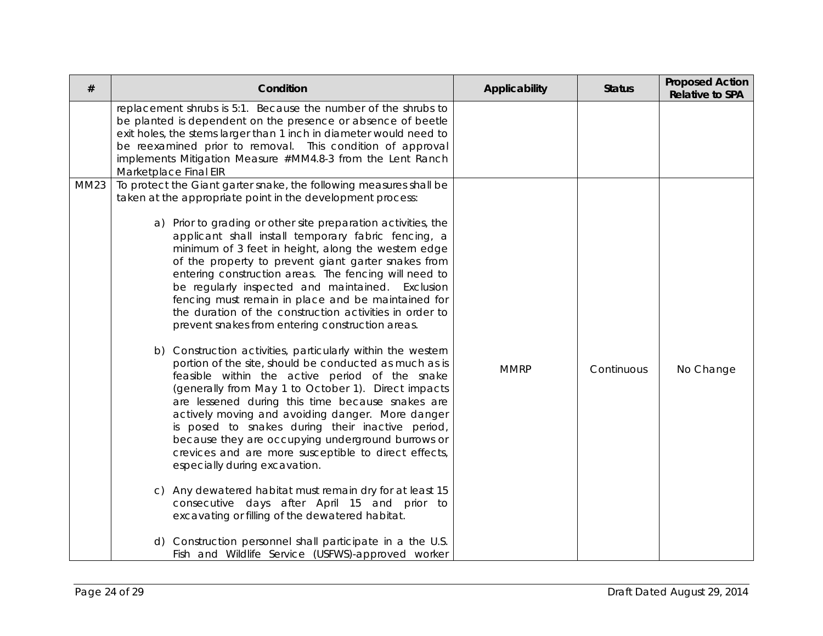| #           | Condition                                                                                                                                                                                                                                                                                                                                                                                                                                                                                                                                                                                                                                                                                                                                                                                                                                                                                                                                                                                                                                                                                                                                                                                                                                                                                                                                                           | Applicability | <b>Status</b> | <b>Proposed Action</b><br><b>Relative to SPA</b> |
|-------------|---------------------------------------------------------------------------------------------------------------------------------------------------------------------------------------------------------------------------------------------------------------------------------------------------------------------------------------------------------------------------------------------------------------------------------------------------------------------------------------------------------------------------------------------------------------------------------------------------------------------------------------------------------------------------------------------------------------------------------------------------------------------------------------------------------------------------------------------------------------------------------------------------------------------------------------------------------------------------------------------------------------------------------------------------------------------------------------------------------------------------------------------------------------------------------------------------------------------------------------------------------------------------------------------------------------------------------------------------------------------|---------------|---------------|--------------------------------------------------|
|             | replacement shrubs is 5:1. Because the number of the shrubs to<br>be planted is dependent on the presence or absence of beetle<br>exit holes, the stems larger than 1 inch in diameter would need to<br>be reexamined prior to removal. This condition of approval<br>implements Mitigation Measure #MM4.8-3 from the Lent Ranch<br>Marketplace Final EIR                                                                                                                                                                                                                                                                                                                                                                                                                                                                                                                                                                                                                                                                                                                                                                                                                                                                                                                                                                                                           |               |               |                                                  |
| <b>MM23</b> | To protect the Giant garter snake, the following measures shall be<br>taken at the appropriate point in the development process:<br>a) Prior to grading or other site preparation activities, the<br>applicant shall install temporary fabric fencing, a<br>minimum of 3 feet in height, along the western edge<br>of the property to prevent giant garter snakes from<br>entering construction areas. The fencing will need to<br>be regularly inspected and maintained. Exclusion<br>fencing must remain in place and be maintained for<br>the duration of the construction activities in order to<br>prevent snakes from entering construction areas.<br>b) Construction activities, particularly within the western<br>portion of the site, should be conducted as much as is<br>feasible within the active period of the snake<br>(generally from May 1 to October 1). Direct impacts<br>are lessened during this time because snakes are<br>actively moving and avoiding danger. More danger<br>is posed to snakes during their inactive period,<br>because they are occupying underground burrows or<br>crevices and are more susceptible to direct effects,<br>especially during excavation.<br>c) Any dewatered habitat must remain dry for at least 15<br>consecutive days after April 15 and prior to<br>excavating or filling of the dewatered habitat. | <b>MMRP</b>   | Continuous    | No Change                                        |
|             | d) Construction personnel shall participate in a the U.S.<br>Fish and Wildlife Service (USFWS)-approved worker                                                                                                                                                                                                                                                                                                                                                                                                                                                                                                                                                                                                                                                                                                                                                                                                                                                                                                                                                                                                                                                                                                                                                                                                                                                      |               |               |                                                  |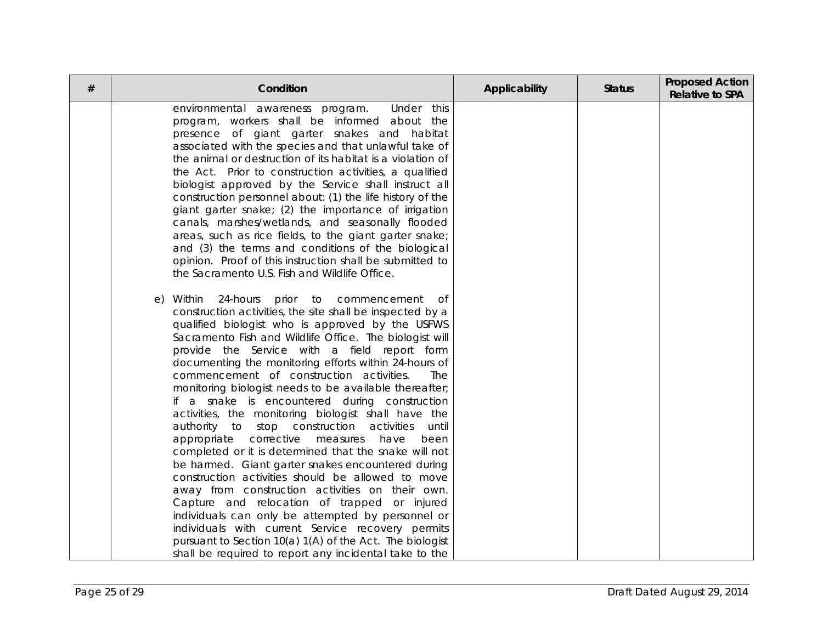| # | Condition                                                                                                       | Applicability | <b>Status</b> | <b>Proposed Action</b><br><b>Relative to SPA</b> |
|---|-----------------------------------------------------------------------------------------------------------------|---------------|---------------|--------------------------------------------------|
|   | Under this<br>environmental awareness program.<br>program, workers shall be informed about the                  |               |               |                                                  |
|   | presence of giant garter snakes and habitat                                                                     |               |               |                                                  |
|   | associated with the species and that unlawful take of                                                           |               |               |                                                  |
|   | the animal or destruction of its habitat is a violation of                                                      |               |               |                                                  |
|   | the Act. Prior to construction activities, a qualified                                                          |               |               |                                                  |
|   | biologist approved by the Service shall instruct all                                                            |               |               |                                                  |
|   | construction personnel about: (1) the life history of the                                                       |               |               |                                                  |
|   | giant garter snake; (2) the importance of irrigation                                                            |               |               |                                                  |
|   | canals, marshes/wetlands, and seasonally flooded                                                                |               |               |                                                  |
|   | areas, such as rice fields, to the giant garter snake;                                                          |               |               |                                                  |
|   | and (3) the terms and conditions of the biological                                                              |               |               |                                                  |
|   | opinion. Proof of this instruction shall be submitted to                                                        |               |               |                                                  |
|   | the Sacramento U.S. Fish and Wildlife Office.                                                                   |               |               |                                                  |
|   | e) Within 24-hours<br>prior<br>to commencement<br>of                                                            |               |               |                                                  |
|   | construction activities, the site shall be inspected by a                                                       |               |               |                                                  |
|   | qualified biologist who is approved by the USFWS                                                                |               |               |                                                  |
|   | Sacramento Fish and Wildlife Office. The biologist will                                                         |               |               |                                                  |
|   | provide the Service with a field report form                                                                    |               |               |                                                  |
|   | documenting the monitoring efforts within 24-hours of                                                           |               |               |                                                  |
|   | commencement of construction activities.<br>The                                                                 |               |               |                                                  |
|   | monitoring biologist needs to be available thereafter;                                                          |               |               |                                                  |
|   | if a snake is encountered during construction                                                                   |               |               |                                                  |
|   | activities, the monitoring biologist shall have the<br>construction<br>activities<br>authority to stop<br>until |               |               |                                                  |
|   | corrective<br>have<br>appropriate<br>measures<br>been                                                           |               |               |                                                  |
|   | completed or it is determined that the snake will not                                                           |               |               |                                                  |
|   | be harmed. Giant garter snakes encountered during                                                               |               |               |                                                  |
|   | construction activities should be allowed to move                                                               |               |               |                                                  |
|   | away from construction activities on their own.                                                                 |               |               |                                                  |
|   | Capture and relocation of trapped or injured                                                                    |               |               |                                                  |
|   | individuals can only be attempted by personnel or                                                               |               |               |                                                  |
|   | individuals with current Service recovery permits                                                               |               |               |                                                  |
|   | pursuant to Section 10(a) 1(A) of the Act. The biologist                                                        |               |               |                                                  |
|   | shall be required to report any incidental take to the                                                          |               |               |                                                  |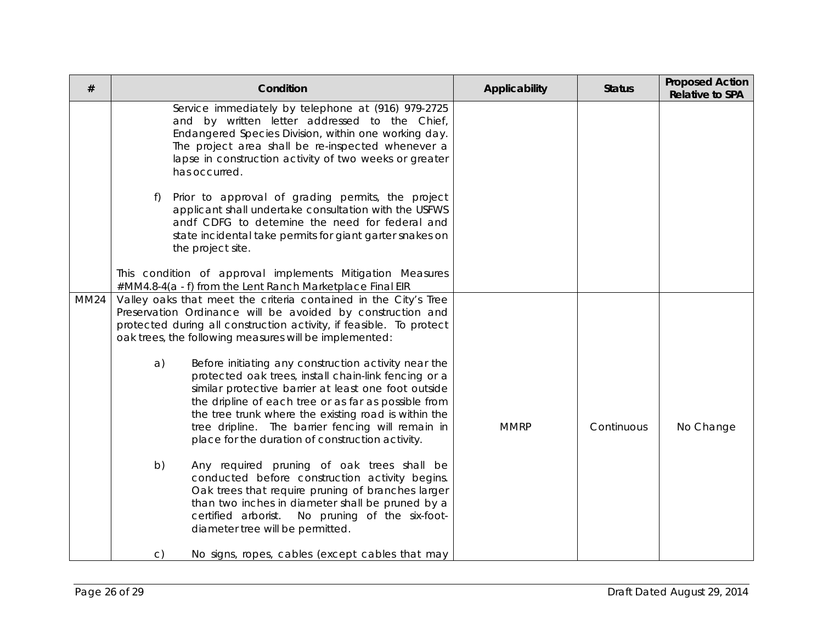| #           | Condition                                                                                                                                                                                                                                                                                                                                                                                           | Applicability | <b>Status</b> | <b>Proposed Action</b><br><b>Relative to SPA</b> |
|-------------|-----------------------------------------------------------------------------------------------------------------------------------------------------------------------------------------------------------------------------------------------------------------------------------------------------------------------------------------------------------------------------------------------------|---------------|---------------|--------------------------------------------------|
|             | Service immediately by telephone at (916) 979-2725<br>and by written letter addressed to the Chief,<br>Endangered Species Division, within one working day.<br>The project area shall be re-inspected whenever a<br>lapse in construction activity of two weeks or greater<br>has occurred.                                                                                                         |               |               |                                                  |
|             | Prior to approval of grading permits, the project<br>$f$ )<br>applicant shall undertake consultation with the USFWS<br>andf CDFG to detemine the need for federal and<br>state incidental take permits for giant garter snakes on<br>the project site.                                                                                                                                              |               |               |                                                  |
|             | This condition of approval implements Mitigation Measures<br>#MM4.8-4(a - f) from the Lent Ranch Marketplace Final EIR                                                                                                                                                                                                                                                                              |               |               |                                                  |
| <b>MM24</b> | Valley oaks that meet the criteria contained in the City's Tree<br>Preservation Ordinance will be avoided by construction and<br>protected during all construction activity, if feasible. To protect<br>oak trees, the following measures will be implemented:                                                                                                                                      |               |               |                                                  |
|             | Before initiating any construction activity near the<br>a)<br>protected oak trees, install chain-link fencing or a<br>similar protective barrier at least one foot outside<br>the dripline of each tree or as far as possible from<br>the tree trunk where the existing road is within the<br>tree dripline. The barrier fencing will remain in<br>place for the duration of construction activity. | <b>MMRP</b>   | Continuous    | No Change                                        |
|             | b)<br>Any required pruning of oak trees shall be<br>conducted before construction activity begins.<br>Oak trees that require pruning of branches larger<br>than two inches in diameter shall be pruned by a<br>No pruning of the six-foot-<br>certified arborist.<br>diameter tree will be permitted.                                                                                               |               |               |                                                  |
|             | No signs, ropes, cables (except cables that may<br>$\mathsf{C}$                                                                                                                                                                                                                                                                                                                                     |               |               |                                                  |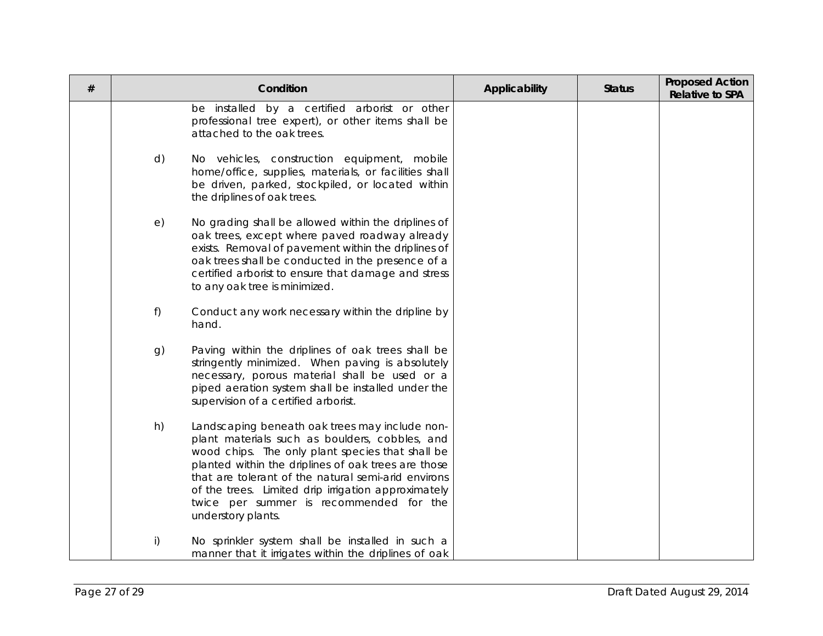| $\#$ |    | Condition                                                                                                                                                                                                                                                                                                                                                                                  | Applicability | <b>Status</b> | <b>Proposed Action</b><br><b>Relative to SPA</b> |
|------|----|--------------------------------------------------------------------------------------------------------------------------------------------------------------------------------------------------------------------------------------------------------------------------------------------------------------------------------------------------------------------------------------------|---------------|---------------|--------------------------------------------------|
|      |    | be installed by a certified arborist or other<br>professional tree expert), or other items shall be<br>attached to the oak trees.                                                                                                                                                                                                                                                          |               |               |                                                  |
|      | d) | No vehicles, construction equipment, mobile<br>home/office, supplies, materials, or facilities shall<br>be driven, parked, stockpiled, or located within<br>the driplines of oak trees.                                                                                                                                                                                                    |               |               |                                                  |
|      | e) | No grading shall be allowed within the driplines of<br>oak trees, except where paved roadway already<br>exists. Removal of pavement within the driplines of<br>oak trees shall be conducted in the presence of a<br>certified arborist to ensure that damage and stress<br>to any oak tree is minimized.                                                                                   |               |               |                                                  |
|      | f) | Conduct any work necessary within the dripline by<br>hand.                                                                                                                                                                                                                                                                                                                                 |               |               |                                                  |
|      | g) | Paving within the driplines of oak trees shall be<br>stringently minimized. When paving is absolutely<br>necessary, porous material shall be used or a<br>piped aeration system shall be installed under the<br>supervision of a certified arborist.                                                                                                                                       |               |               |                                                  |
|      | h) | Landscaping beneath oak trees may include non-<br>plant materials such as boulders, cobbles, and<br>wood chips. The only plant species that shall be<br>planted within the driplines of oak trees are those<br>that are tolerant of the natural semi-arid environs<br>of the trees. Limited drip irrigation approximately<br>twice per summer is recommended for the<br>understory plants. |               |               |                                                  |
|      | i) | No sprinkler system shall be installed in such a<br>manner that it irrigates within the driplines of oak                                                                                                                                                                                                                                                                                   |               |               |                                                  |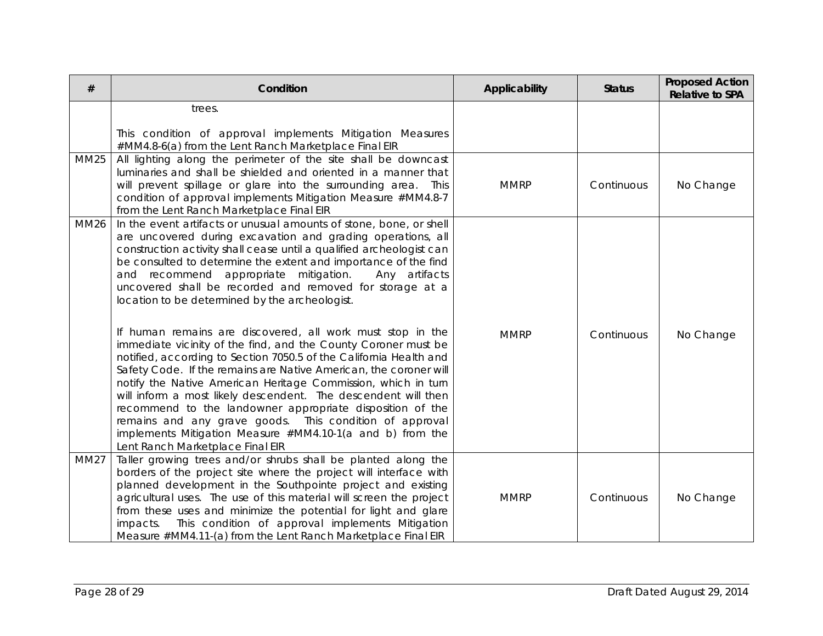| #           | Condition                                                                                                                                                                                                                                                                                                                                                                                                                                                                                                                                                                                                                           | Applicability | <b>Status</b> | <b>Proposed Action</b><br><b>Relative to SPA</b> |
|-------------|-------------------------------------------------------------------------------------------------------------------------------------------------------------------------------------------------------------------------------------------------------------------------------------------------------------------------------------------------------------------------------------------------------------------------------------------------------------------------------------------------------------------------------------------------------------------------------------------------------------------------------------|---------------|---------------|--------------------------------------------------|
|             | trees.                                                                                                                                                                                                                                                                                                                                                                                                                                                                                                                                                                                                                              |               |               |                                                  |
|             | This condition of approval implements Mitigation Measures<br>#MM4.8-6(a) from the Lent Ranch Marketplace Final EIR                                                                                                                                                                                                                                                                                                                                                                                                                                                                                                                  |               |               |                                                  |
| <b>MM25</b> | All lighting along the perimeter of the site shall be downcast<br>luminaries and shall be shielded and oriented in a manner that<br>will prevent spillage or glare into the surrounding area. This<br>condition of approval implements Mitigation Measure #MM4.8-7<br>from the Lent Ranch Marketplace Final EIR                                                                                                                                                                                                                                                                                                                     | <b>MMRP</b>   | Continuous    | No Change                                        |
| <b>MM26</b> | In the event artifacts or unusual amounts of stone, bone, or shell<br>are uncovered during excavation and grading operations, all<br>construction activity shall cease until a qualified archeologist can<br>be consulted to determine the extent and importance of the find<br>and recommend appropriate mitigation.<br>Any artifacts<br>uncovered shall be recorded and removed for storage at a<br>location to be determined by the archeologist.                                                                                                                                                                                |               |               |                                                  |
|             | If human remains are discovered, all work must stop in the<br>immediate vicinity of the find, and the County Coroner must be<br>notified, according to Section 7050.5 of the California Health and<br>Safety Code. If the remains are Native American, the coroner will<br>notify the Native American Heritage Commission, which in turn<br>will inform a most likely descendent. The descendent will then<br>recommend to the landowner appropriate disposition of the<br>remains and any grave goods. This condition of approval<br>implements Mitigation Measure #MM4.10-1(a and b) from the<br>Lent Ranch Marketplace Final EIR | <b>MMRP</b>   | Continuous    | No Change                                        |
| <b>MM27</b> | Taller growing trees and/or shrubs shall be planted along the<br>borders of the project site where the project will interface with<br>planned development in the Southpointe project and existing<br>agricultural uses. The use of this material will screen the project<br>from these uses and minimize the potential for light and glare<br>This condition of approval implements Mitigation<br>impacts.<br>Measure #MM4.11-(a) from the Lent Ranch Marketplace Final EIR                                                                                                                                                         | <b>MMRP</b>   | Continuous    | No Change                                        |